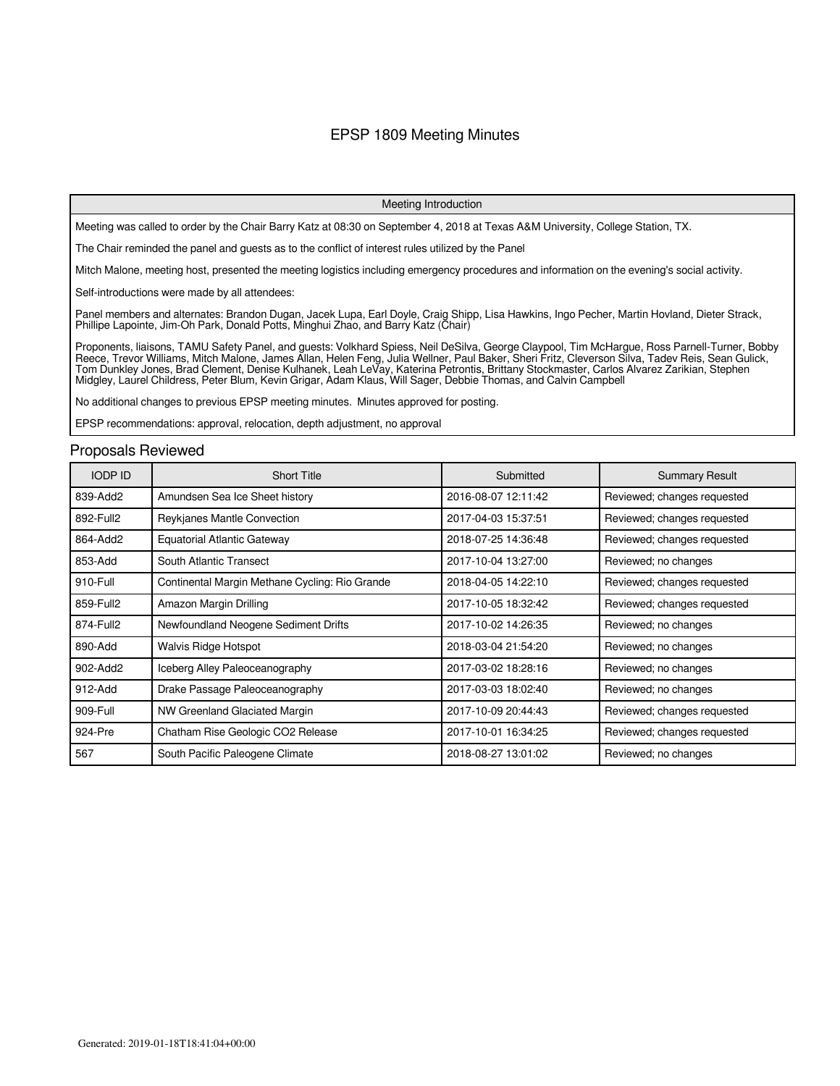#### EPSP 1809 Meeting Minutes

#### Meeting Introduction

Meeting was called to order by the Chair Barry Katz at 08:30 on September 4, 2018 at Texas A&M University, College Station, TX.

The Chair reminded the panel and guests as to the conflict of interest rules utilized by the Panel

Mitch Malone, meeting host, presented the meeting logistics including emergency procedures and information on the evening's social activity.

Self-introductions were made by all attendees:

Panel members and alternates: Brandon Dugan, Jacek Lupa, Earl Doyle, Craig Shipp, Lisa Hawkins, Ingo Pecher, Martin Hovland, Dieter Strack, Phillipe Lapointe, Jim-Oh Park, Donald Potts, Minghui Zhao, and Barry Katz (Chair)

Proponents, liaisons, TAMU Safety Panel, and guests: Volkhard Spiess, Neil DeSilva, George Claypool, Tim McHargue, Ross Parnell-Turner, Bobby Reece, Trevor Williams, Mitch Malone, James Allan, Helen Feng, Julia Wellner, Paul Baker, Sheri Fritz, Cleverson Silva, Tadev Reis, Sean Gulick, Tom Dunkley Jones, Brad Clement, Denise Kulhanek, Leah LeVay, Katerina Petrontis, Brittany Stockmaster, Carlos Alvarez Zarikian, Stephen Midgley, Laurel Childress, Peter Blum, Kevin Grigar, Adam Klaus, Will Sager, Debbie Thomas, and Calvin Campbell

No additional changes to previous EPSP meeting minutes. Minutes approved for posting.

EPSP recommendations: approval, relocation, depth adjustment, no approval

#### Proposals Reviewed

| <b>IODP ID</b> | <b>Short Title</b>                             | Submitted           | <b>Summary Result</b>       |
|----------------|------------------------------------------------|---------------------|-----------------------------|
| 839-Add2       | Amundsen Sea Ice Sheet history                 | 2016-08-07 12:11:42 | Reviewed; changes requested |
| 892-Full2      | Reykjanes Mantle Convection                    | 2017-04-03 15:37:51 | Reviewed; changes requested |
| 864-Add2       | <b>Equatorial Atlantic Gateway</b>             | 2018-07-25 14:36:48 | Reviewed; changes requested |
| 853-Add        | South Atlantic Transect                        | 2017-10-04 13:27:00 | Reviewed; no changes        |
| 910-Full       | Continental Margin Methane Cycling: Rio Grande | 2018-04-05 14:22:10 | Reviewed; changes requested |
| 859-Full2      | Amazon Margin Drilling                         | 2017-10-05 18:32:42 | Reviewed; changes requested |
| 874-Full2      | Newfoundland Neogene Sediment Drifts           | 2017-10-02 14:26:35 | Reviewed; no changes        |
| 890-Add        | Walvis Ridge Hotspot                           | 2018-03-04 21:54:20 | Reviewed; no changes        |
| 902-Add2       | Iceberg Alley Paleoceanography                 | 2017-03-02 18:28:16 | Reviewed; no changes        |
| 912-Add        | Drake Passage Paleoceanography                 | 2017-03-03 18:02:40 | Reviewed; no changes        |
| 909-Full       | NW Greenland Glaciated Margin                  | 2017-10-09 20:44:43 | Reviewed; changes requested |
| 924-Pre        | Chatham Rise Geologic CO2 Release              | 2017-10-01 16:34:25 | Reviewed; changes requested |
| 567            | South Pacific Paleogene Climate                | 2018-08-27 13:01:02 | Reviewed; no changes        |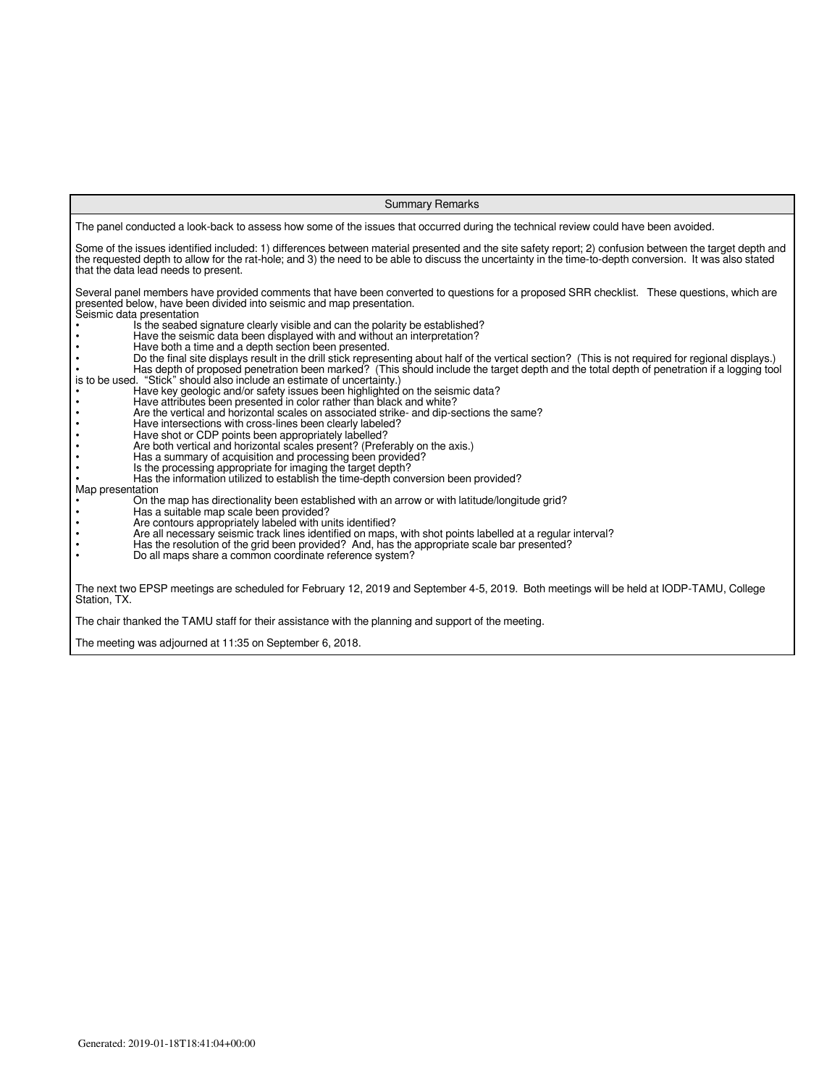| <b>Summary Remarks</b>                                                                                                                                                                                                                                                                                                                                                                                                                                                                                                                                                                                                                                                                                                                                                                                                                                                                                                                                                                                                                                                                                                                                                                                                                                                                                                                                                                                                                                                                                                                                                                                                                                                                                                                                                                                                                                                                                                                                                                                                             |  |  |  |  |  |  |  |  |
|------------------------------------------------------------------------------------------------------------------------------------------------------------------------------------------------------------------------------------------------------------------------------------------------------------------------------------------------------------------------------------------------------------------------------------------------------------------------------------------------------------------------------------------------------------------------------------------------------------------------------------------------------------------------------------------------------------------------------------------------------------------------------------------------------------------------------------------------------------------------------------------------------------------------------------------------------------------------------------------------------------------------------------------------------------------------------------------------------------------------------------------------------------------------------------------------------------------------------------------------------------------------------------------------------------------------------------------------------------------------------------------------------------------------------------------------------------------------------------------------------------------------------------------------------------------------------------------------------------------------------------------------------------------------------------------------------------------------------------------------------------------------------------------------------------------------------------------------------------------------------------------------------------------------------------------------------------------------------------------------------------------------------------|--|--|--|--|--|--|--|--|
| The panel conducted a look-back to assess how some of the issues that occurred during the technical review could have been avoided.                                                                                                                                                                                                                                                                                                                                                                                                                                                                                                                                                                                                                                                                                                                                                                                                                                                                                                                                                                                                                                                                                                                                                                                                                                                                                                                                                                                                                                                                                                                                                                                                                                                                                                                                                                                                                                                                                                |  |  |  |  |  |  |  |  |
| Some of the issues identified included: 1) differences between material presented and the site safety report; 2) confusion between the target depth and<br>the requested depth to allow for the rat-hole; and 3) the need to be able to discuss the uncertainty in the time-to-depth conversion. It was also stated<br>that the data lead needs to present.                                                                                                                                                                                                                                                                                                                                                                                                                                                                                                                                                                                                                                                                                                                                                                                                                                                                                                                                                                                                                                                                                                                                                                                                                                                                                                                                                                                                                                                                                                                                                                                                                                                                        |  |  |  |  |  |  |  |  |
| Several panel members have provided comments that have been converted to questions for a proposed SRR checklist. These questions, which are<br>presented below, have been divided into seismic and map presentation.<br>Seismic data presentation<br>Is the seabed signature clearly visible and can the polarity be established?<br>Have the seismic data been displayed with and without an interpretation?<br>Have both a time and a depth section been presented.<br>Do the final site displays result in the drill stick representing about half of the vertical section? (This is not required for regional displays.)<br>Has depth of proposed penetration been marked? (This should include the target depth and the total depth of penetration if a logging tool<br>is to be used. "Stick" should also include an estimate of uncertainty.)<br>Have key geologic and/or safety issues been highlighted on the seismic data?<br>Have attributes been presented in color rather than black and white?<br>Are the vertical and horizontal scales on associated strike- and dip-sections the same?<br>Have intersections with cross-lines been clearly labeled?<br>Have shot or CDP points been appropriately labelled?<br>Are both vertical and horizontal scales present? (Preferably on the axis.)<br>Has a summary of acquisition and processing been provided?<br>Is the processing appropriate for imaging the target depth?<br>Has the information utilized to establish the time-depth conversion been provided?<br>Map presentation<br>On the map has directionality been established with an arrow or with latitude/longitude grid?<br>Has a suitable map scale been provided?<br>Are contours appropriately labeled with units identified?<br>Are all necessary seismic track lines identified on maps, with shot points labelled at a regular interval?<br>Has the resolution of the grid been provided? And, has the appropriate scale bar presented?<br>Do all maps share a common coordinate reference system? |  |  |  |  |  |  |  |  |
| The next two EPSP meetings are scheduled for February 12, 2019 and September 4-5, 2019. Both meetings will be held at IODP-TAMU, College<br>Station, TX.                                                                                                                                                                                                                                                                                                                                                                                                                                                                                                                                                                                                                                                                                                                                                                                                                                                                                                                                                                                                                                                                                                                                                                                                                                                                                                                                                                                                                                                                                                                                                                                                                                                                                                                                                                                                                                                                           |  |  |  |  |  |  |  |  |
| The chair thanked the TAMU staff for their assistance with the planning and support of the meeting.                                                                                                                                                                                                                                                                                                                                                                                                                                                                                                                                                                                                                                                                                                                                                                                                                                                                                                                                                                                                                                                                                                                                                                                                                                                                                                                                                                                                                                                                                                                                                                                                                                                                                                                                                                                                                                                                                                                                |  |  |  |  |  |  |  |  |
| The meeting was adjourned at 11:35 on September 6, 2018.                                                                                                                                                                                                                                                                                                                                                                                                                                                                                                                                                                                                                                                                                                                                                                                                                                                                                                                                                                                                                                                                                                                                                                                                                                                                                                                                                                                                                                                                                                                                                                                                                                                                                                                                                                                                                                                                                                                                                                           |  |  |  |  |  |  |  |  |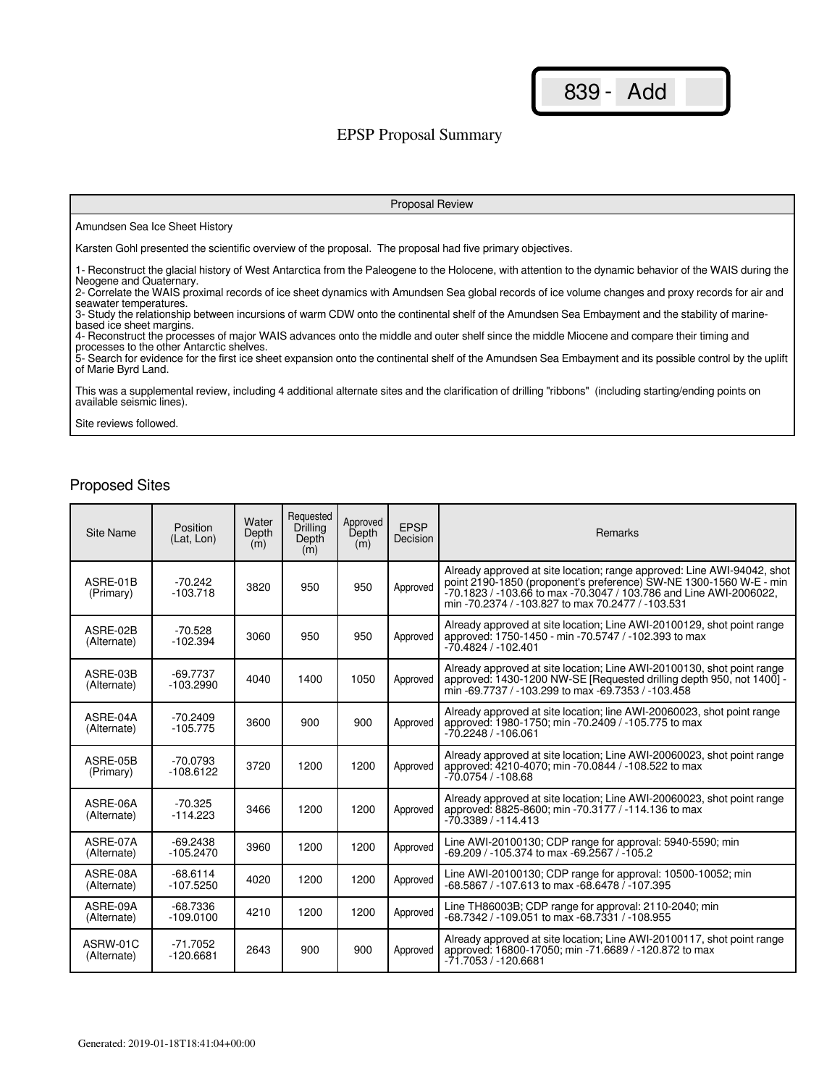### EPSP Proposal Summary

#### Proposal Review

#### Amundsen Sea Ice Sheet History

Karsten Gohl presented the scientific overview of the proposal. The proposal had five primary objectives.

1- Reconstruct the glacial history of West Antarctica from the Paleogene to the Holocene, with attention to the dynamic behavior of the WAIS during the Neogene and Quaternary.

2- Correlate the WAIS proximal records of ice sheet dynamics with Amundsen Sea global records of ice volume changes and proxy records for air and seawater temperatures.

3- Study the relationship between incursions of warm CDW onto the continental shelf of the Amundsen Sea Embayment and the stability of marinebased ice sheet margins.

4- Reconstruct the processes of major WAIS advances onto the middle and outer shelf since the middle Miocene and compare their timing and processes to the other Antarctic shelves.

5- Search for evidence for the first ice sheet expansion onto the continental shelf of the Amundsen Sea Embayment and its possible control by the uplift of Marie Byrd Land.

This was a supplemental review, including 4 additional alternate sites and the clarification of drilling "ribbons" (including starting/ending points on available seismic lines).

Site reviews followed.

| Site Name               | Position<br>(Lat. Lon)    | Water<br>Depth<br>(m) | Requested<br>Drilling<br>Depth<br>(m) | Approved<br>Depth<br>(m) | <b>EPSP</b><br>Decision | Remarks                                                                                                                                                                                                                                                                  |
|-------------------------|---------------------------|-----------------------|---------------------------------------|--------------------------|-------------------------|--------------------------------------------------------------------------------------------------------------------------------------------------------------------------------------------------------------------------------------------------------------------------|
| ASRE-01B<br>(Primary)   | $-70.242$<br>$-103.718$   | 3820                  | 950                                   | 950                      | Approved                | Already approved at site location; range approved: Line AWI-94042, shot<br>point 2190-1850 (proponent's preference) SW-NE 1300-1560 W-E - min<br>-70.1823 / -103.66 to max -70.3047 / 103.786 and Line AWI-2006022,<br>min -70.2374 / -103.827 to max 70.2477 / -103.531 |
| ASRE-02B<br>(Alternate) | $-70.528$<br>$-102.394$   | 3060                  | 950                                   | 950                      | Approved                | Already approved at site location; Line AWI-20100129, shot point range<br>approved: 1750-1450 - min -70.5747 / -102.393 to max<br>-70.4824 / -102.401                                                                                                                    |
| ASRE-03B<br>(Alternate) | -69.7737<br>$-103.2990$   | 4040                  | 1400                                  | 1050                     | Approved                | Already approved at site location; Line AWI-20100130, shot point range<br>approved: 1430-1200 NW-SE [Requested drilling depth 950, not 1400] -<br>min -69.7737 / -103.299 to max -69.7353 / -103.458                                                                     |
| ASRE-04A<br>(Alternate) | $-70.2409$<br>$-105.775$  | 3600                  | 900                                   | 900                      | Approved                | Already approved at site location; line AWI-20060023, shot point range<br>approved: 1980-1750; min -70.2409 / -105.775 to max<br>$-70.2248/ -106.061$                                                                                                                    |
| ASRE-05B<br>(Primary)   | $-70.0793$<br>$-108.6122$ | 3720                  | 1200                                  | 1200                     | Approved                | Already approved at site location; Line AWI-20060023, shot point range<br>approved: 4210-4070; min -70.0844 / -108.522 to max<br>$-70.0754/ -108.68$                                                                                                                     |
| ASRE-06A<br>(Alternate) | $-70.325$<br>$-114.223$   | 3466                  | 1200                                  | 1200                     | Approved                | Already approved at site location; Line AWI-20060023, shot point range<br>approved: 8825-8600; min -70.3177 / -114.136 to max<br>$-70.3389/ -114.413$                                                                                                                    |
| ASRE-07A<br>(Alternate) | $-69.2438$<br>$-105.2470$ | 3960                  | 1200                                  | 1200                     | Approved                | Line AWI-20100130; CDP range for approval: 5940-5590; min<br>-69.209 / -105.374 to max -69.2567 / -105.2                                                                                                                                                                 |
| ASRE-08A<br>(Alternate) | $-68.6114$<br>$-107.5250$ | 4020                  | 1200                                  | 1200                     | Approved                | Line AWI-20100130; CDP range for approval: 10500-10052; min<br>-68.5867 / -107.613 to max -68.6478 / -107.395                                                                                                                                                            |
| ASRE-09A<br>(Alternate) | $-68.7336$<br>$-109.0100$ | 4210                  | 1200                                  | 1200                     | Approved                | Line TH86003B; CDP range for approval: 2110-2040; min<br>-68.7342 / -109.051 to max -68.7331 / -108.955                                                                                                                                                                  |
| ASRW-01C<br>(Alternate) | $-71.7052$<br>$-120.6681$ | 2643                  | 900                                   | 900                      | Approved                | Already approved at site location; Line AWI-20100117, shot point range<br>approved: 16800-17050; min -71.6689 / -120.872 to max<br>-71.7053 / -120.6681                                                                                                                  |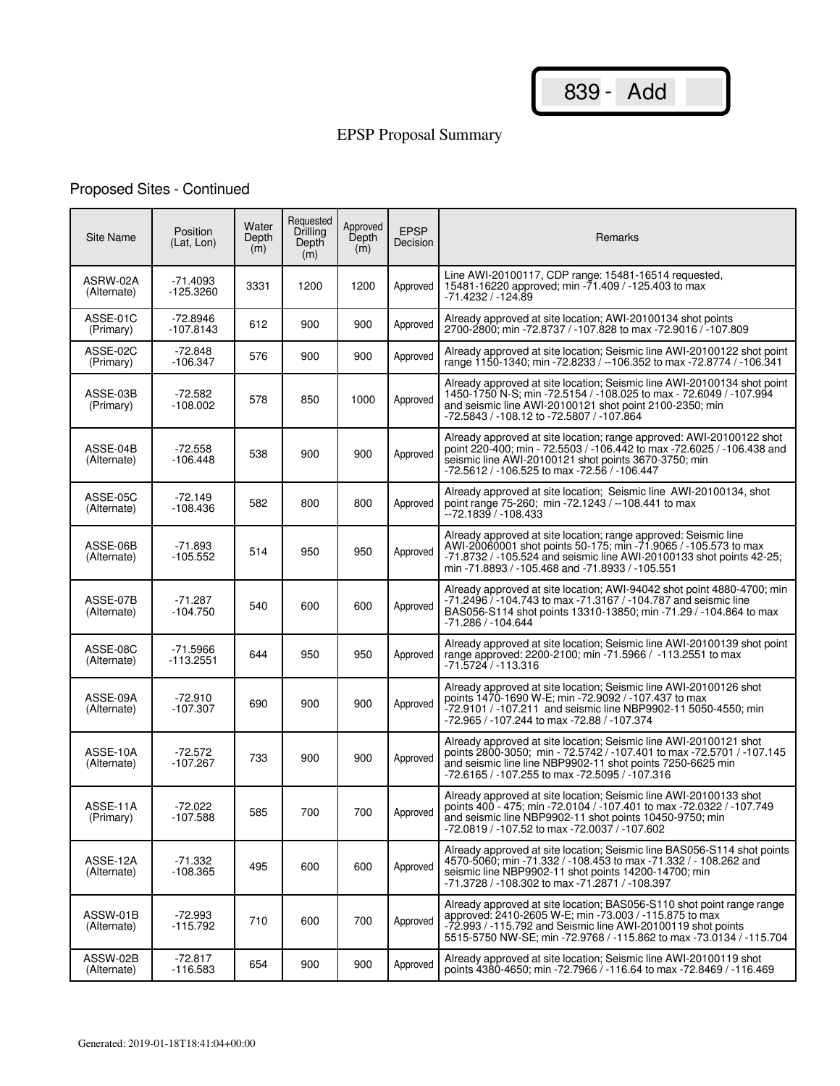# EPSP Proposal Summary

# Proposed Sites - Continued

| <b>Site Name</b>        | Position<br>(Lat, Lon)    | Water<br>Depth<br>(m) | Requested<br>Drilling<br>Depth<br>(m) | Approved<br>Depth<br>(m) | <b>EPSP</b><br>Decision | Remarks                                                                                                                                                                                                                                                                |
|-------------------------|---------------------------|-----------------------|---------------------------------------|--------------------------|-------------------------|------------------------------------------------------------------------------------------------------------------------------------------------------------------------------------------------------------------------------------------------------------------------|
| ASRW-02A<br>(Alternate) | $-71.4093$<br>-125.3260   | 3331                  | 1200                                  | 1200                     | Approved                | Line AWI-20100117, CDP range: 15481-16514 requested,<br>15481-16220 approved; min -71.409 / -125.403 to max<br>-71.4232 / -124.89                                                                                                                                      |
| ASSE-01C<br>(Primary)   | $-72.8946$<br>$-107.8143$ | 612                   | 900                                   | 900                      | Approved                | Already approved at site location; AWI-20100134 shot points<br>2700-2800; min -72.8737 / -107.828 to max -72.9016 / -107.809                                                                                                                                           |
| ASSE-02C<br>(Primary)   | $-72.848$<br>$-106.347$   | 576                   | 900                                   | 900                      | Approved                | Already approved at site location; Seismic line AWI-20100122 shot point<br>range 1150-1340; min -72.8233 / --106.352 to max -72.8774 / -106.341                                                                                                                        |
| ASSE-03B<br>(Primary)   | $-72.582$<br>$-108.002$   | 578                   | 850                                   | 1000                     | Approved                | Already approved at site location; Seismic line AWI-20100134 shot point<br>1450-1750 N-S; min -72.5154 / -108.025 to max - 72.6049 / -107.994<br>and seismic line AWI-20100121 shot point 2100-2350; min<br>-72.5843 / -108.12 to -72.5807 / -107.864                  |
| ASSE-04B<br>(Alternate) | -72.558<br>$-106.448$     | 538                   | 900                                   | 900                      | Approved                | Already approved at site location; range approved: AWI-20100122 shot<br>point 220-400; min - 72.5503 / -106.442 to max -72.6025 / -106.438 and<br>seismic line AWI-20100121 shot points 3670-3750; min<br>-72.5612 / -106.525 to max -72.56 / -106.447                 |
| ASSE-05C<br>(Alternate) | $-72.149$<br>$-108.436$   | 582                   | 800                                   | 800                      | Approved                | Already approved at site location; Seismic line AWI-20100134, shot<br>point range 75-260; min -72.1243 / --108.441 to max<br>$-72.1839/1108.433$                                                                                                                       |
| ASSE-06B<br>(Alternate) | -71.893<br>$-105.552$     | 514                   | 950                                   | 950                      | Approved                | Already approved at site location; range approved: Seismic line<br>AWI-20060001 shot points 50-175; min -71.9065 / -105.573 to max<br>-71.8732 / -105.524 and seismic line AWI-20100133 shot points 42-25;<br>min -71.8893 / -105.468 and -71.8933 / -105.551          |
| ASSE-07B<br>(Alternate) | $-71.287$<br>$-104.750$   | 540                   | 600                                   | 600                      | Approved                | Already approved at site location; AWI-94042 shot point 4880-4700; min<br>-71.2496 / -104.743 to max -71.3167 / -104.787 and seismic line<br>BAS056-S114 shot points 13310-13850; min -71.29 / -104.864 to max<br>-71.286 / -104.644                                   |
| ASSE-08C<br>(Alternate) | $-71.5966$<br>$-113.2551$ | 644                   | 950                                   | 950                      | Approved                | Already approved at site location; Seismic line AWI-20100139 shot point<br>range approved: 2200-2100; min -71.5966 / -113.2551 to max<br>-71.5724 / -113.316                                                                                                           |
| ASSE-09A<br>(Alternate) | $-72.910$<br>$-107.307$   | 690                   | 900                                   | 900                      | Approved                | Already approved at site location; Seismic line AWI-20100126 shot<br>points 1470-1690 W-E; min -72.9092 / -107.437 to max<br>-72.9101 / -107.211 and seismic line NBP9902-11 5050-4550; min<br>-72.965 / -107.244 to max -72.88 / -107.374                             |
| ASSE-10A<br>(Alternate) | -72.572<br>$-107.267$     | 733                   | 900                                   | 900                      | Approved                | Already approved at site location; Seismic line AWI-20100121 shot<br>points 2800-3050; min - 72.5742 / -107.401 to max -72.5701 / -107.145<br>and seismic line line NBP9902-11 shot points 7250-6625 min<br>-72.6165 / -107.255 to max -72.5095 / -107.316             |
| ASSE-11A<br>(Primary)   | $-72.022$<br>$-107.588$   | 585                   | 700                                   | 700                      | Approved                | Already approved at site location; Seismic line AWI-20100133 shot<br>points 400 - 475; min - 72.0104 / -107.401 to max - 72.0322 / -107.749<br>and seismic line NBP9902-11 shot points 10450-9750; min<br>-72.0819 / -107.52 to max -72.0037 / -107.602                |
| ASSE-12A<br>(Alternate) | -71.332<br>$-108.365$     | 495                   | 600                                   | 600                      | Approved                | Already approved at site location; Seismic line BAS056-S114 shot points<br>4570-5060; min -71.332 / -108.453 to max -71.332 / - 108.262 and<br>seismic line NBP9902-11 shot points 14200-14700; min<br>-71.3728 / -108.302 to max -71.2871 / -108.397                  |
| ASSW-01B<br>(Alternate) | -72.993<br>$-115.792$     | 710                   | 600                                   | 700                      | Approved                | Already approved at site location; BAS056-S110 shot point range range<br>approved: 2410-2605 W-E; min -73.003 / -115.875 to max<br>-72.993 / -115.792 and Seismic line AWI-20100119 shot points<br>5515-5750 NW-SE; min -72.9768 / -115.862 to max -73.0134 / -115.704 |
| ASSW-02B<br>(Alternate) | $-72.817$<br>$-116.583$   | 654                   | 900                                   | 900                      | Approved                | Already approved at site location; Seismic line AWI-20100119 shot<br>points 4380-4650; min -72.7966 / -116.64 to max -72.8469 / -116.469                                                                                                                               |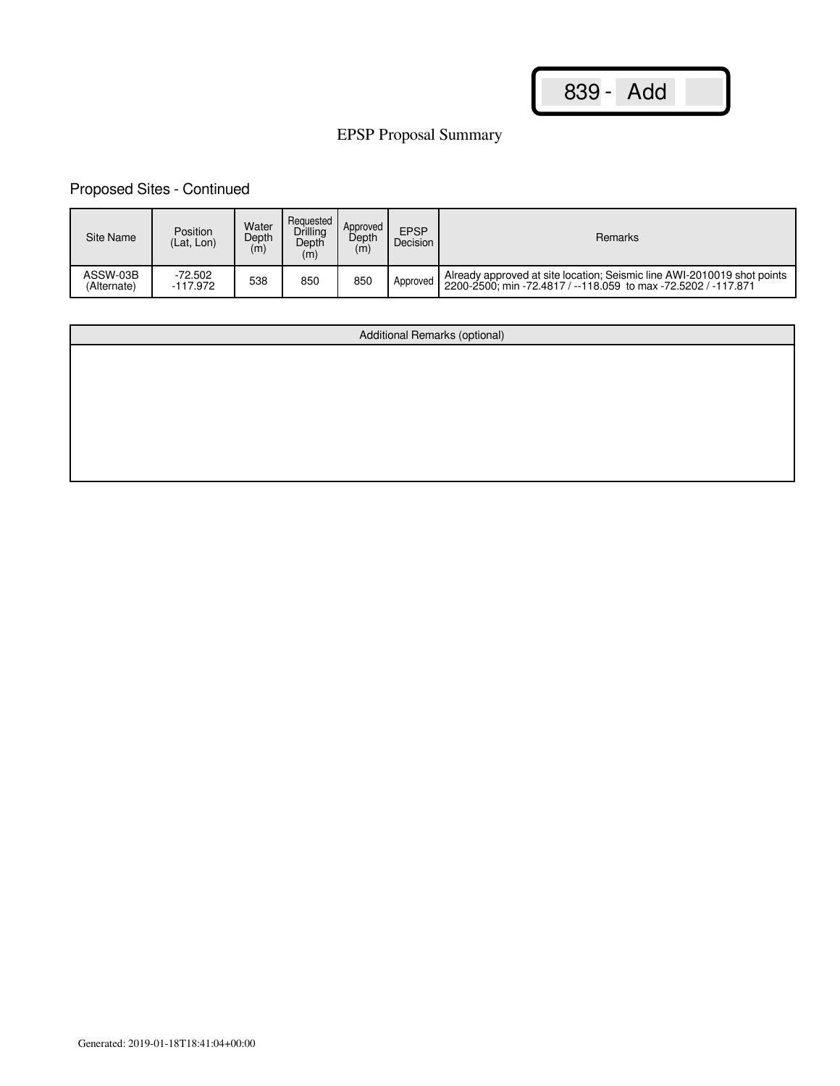# EPSP Proposal Summary

# Proposed Sites - Continued

| Site Name               | Position<br>(Lat. Lon) | Water<br>Depth<br>(m) | Requested<br>Drilling<br>Depth<br>(m) | Approved<br>Depth<br>(m) | <b>EPSP</b><br>Decision | Remarks                                                                                                                                   |
|-------------------------|------------------------|-----------------------|---------------------------------------|--------------------------|-------------------------|-------------------------------------------------------------------------------------------------------------------------------------------|
| ASSW-03B<br>(Alternate) | $-72.502$<br>-117.972  | 538                   | 850                                   | 850                      | Approved                | Already approved at site location; Seismic line AWI-2010019 shot points<br>2200-2500: min -72.4817 / --118.059 to max -72.5202 / -117.871 |

| Additional Remarks (optional) |
|-------------------------------|
|                               |
|                               |
|                               |
|                               |
|                               |
|                               |
|                               |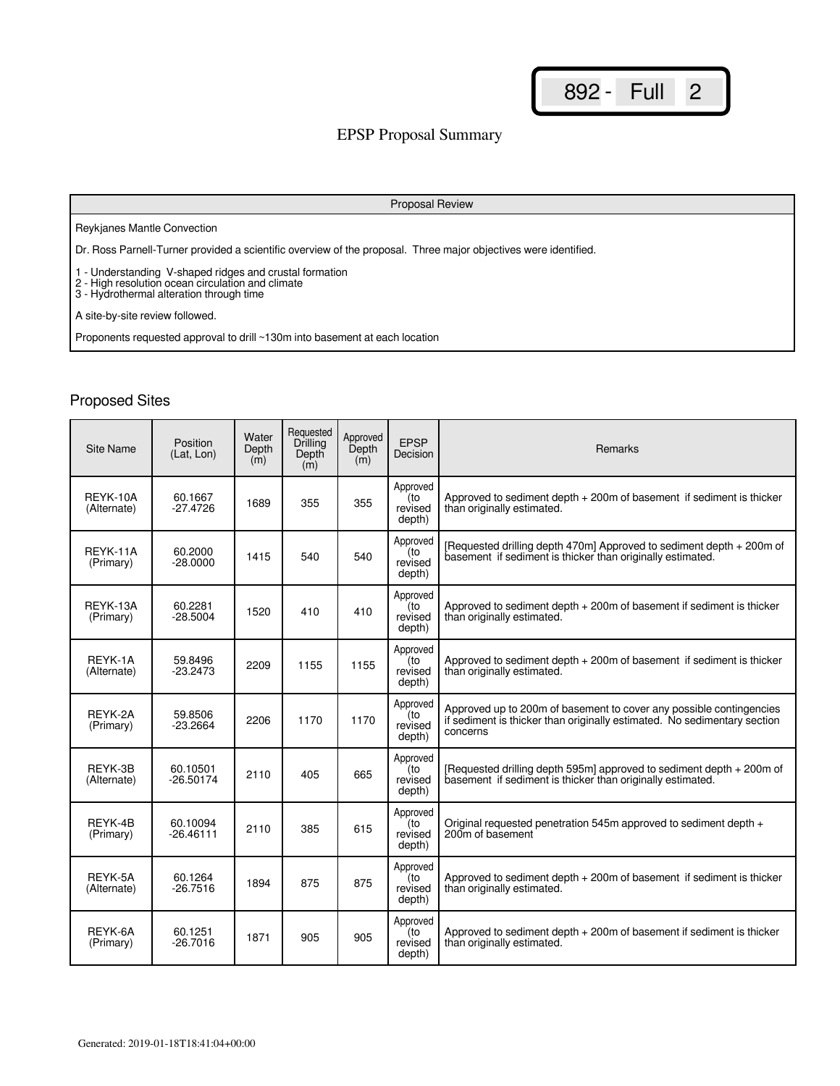## EPSP Proposal Summary

#### Proposal Review

#### Reykjanes Mantle Convection

Dr. Ross Parnell-Turner provided a scientific overview of the proposal. Three major objectives were identified.

1 - Understanding V-shaped ridges and crustal formation

2 - High resolution ocean circulation and climate

3 - Hydrothermal alteration through time

A site-by-site review followed.

Proponents requested approval to drill ~130m into basement at each location

| Site Name               | Position<br>(Lat. Lon)  | Water<br>Depth<br>(m) | Requested<br>Drilling<br>Depth<br>(m) | Approved<br>Depth<br>(m) | <b>EPSP</b><br>Decision              | <b>Remarks</b>                                                                                                                                              |
|-------------------------|-------------------------|-----------------------|---------------------------------------|--------------------------|--------------------------------------|-------------------------------------------------------------------------------------------------------------------------------------------------------------|
| REYK-10A<br>(Alternate) | 60.1667<br>$-27.4726$   | 1689                  | 355                                   | 355                      | Approved<br>to)<br>revised<br>depth) | Approved to sediment depth $+200$ m of basement if sediment is thicker<br>than originally estimated.                                                        |
| REYK-11A<br>(Primary)   | 60.2000<br>$-28.0000$   | 1415                  | 540                                   | 540                      | Approved<br>(to<br>revised<br>depth) | [Requested drilling depth 470m] Approved to sediment depth + 200m of<br>basement if sediment is thicker than originally estimated.                          |
| REYK-13A<br>(Primary)   | 60.2281<br>$-28.5004$   | 1520                  | 410                                   | 410                      | Approved<br>(to<br>revised<br>depth) | Approved to sediment depth $+200$ m of basement if sediment is thicker<br>than originally estimated.                                                        |
| REYK-1A<br>(Alternate)  | 59.8496<br>$-23.2473$   | 2209                  | 1155                                  | 1155                     | Approved<br>(to<br>revised<br>depth) | Approved to sediment depth $+200$ m of basement if sediment is thicker<br>than originally estimated.                                                        |
| REYK-2A<br>(Primary)    | 59.8506<br>-23.2664     | 2206                  | 1170                                  | 1170                     | Approved<br>(to<br>revised<br>depth) | Approved up to 200m of basement to cover any possible contingencies<br>if sediment is thicker than originally estimated. No sedimentary section<br>concerns |
| REYK-3B<br>(Alternate)  | 60.10501<br>$-26.50174$ | 2110                  | 405                                   | 665                      | Approved<br>(to<br>revised<br>depth) | [Requested drilling depth 595m] approved to sediment depth + 200m of<br>basement if sediment is thicker than originally estimated.                          |
| REYK-4B<br>(Primary)    | 60.10094<br>$-26.46111$ | 2110                  | 385                                   | 615                      | Approved<br>(to<br>revised<br>depth) | Original requested penetration 545m approved to sediment depth +<br>200m of basement                                                                        |
| REYK-5A<br>(Alternate)  | 60.1264<br>$-26.7516$   | 1894                  | 875                                   | 875                      | Approved<br>to)<br>revised<br>depth) | Approved to sediment depth $+200$ m of basement if sediment is thicker<br>than originally estimated.                                                        |
| REYK-6A<br>(Primary)    | 60.1251<br>$-26.7016$   | 1871                  | 905                                   | 905                      | Approved<br>(to<br>revised<br>depth) | Approved to sediment depth $+200$ m of basement if sediment is thicker<br>than originally estimated.                                                        |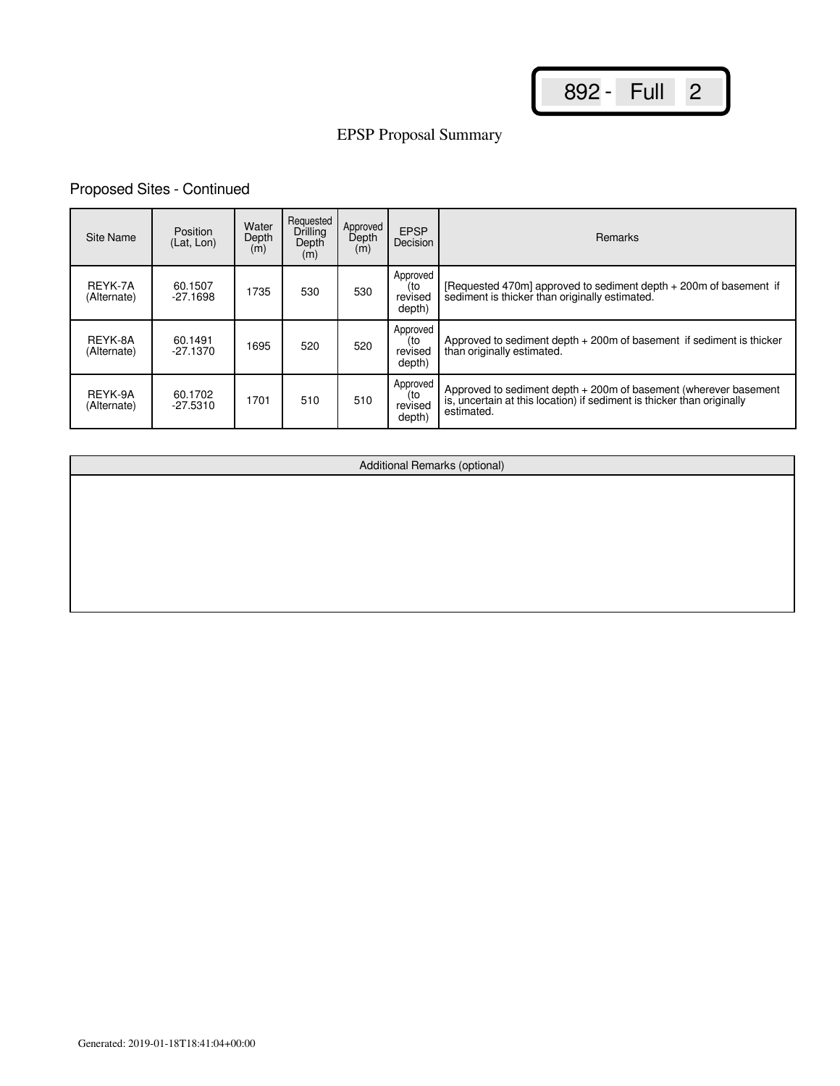# EPSP Proposal Summary

## Proposed Sites - Continued

| Site Name              | Position<br>(Lat, Lon) | Water<br>Depth<br>(m) | Requested<br>Drilling<br>Depth<br>(m) | Approved<br>Depth<br>(m) | <b>EPSP</b><br>Decision              | <b>Remarks</b>                                                                                                                                        |
|------------------------|------------------------|-----------------------|---------------------------------------|--------------------------|--------------------------------------|-------------------------------------------------------------------------------------------------------------------------------------------------------|
| REYK-7A<br>(Alternate) | 60.1507<br>$-27.1698$  | 1735                  | 530                                   | 530                      | Approved<br>(to<br>revised<br>depth) | [Requested 470m] approved to sediment depth + 200m of basement if<br>sediment is thicker than originally estimated.                                   |
| REYK-8A<br>(Alternate) | 60.1491<br>$-27.1370$  | 1695                  | 520                                   | 520                      | Approved<br>(to<br>revised<br>depth) | Approved to sediment depth $+200$ m of basement if sediment is thicker<br>than originally estimated.                                                  |
| REYK-9A<br>(Alternate) | 60.1702<br>$-27.5310$  | 1701                  | 510                                   | 510                      | Approved<br>(to<br>revised<br>depth) | Approved to sediment depth + 200m of basement (wherever basement is, uncertain at this location) if sediment is thicker than originally<br>estimated. |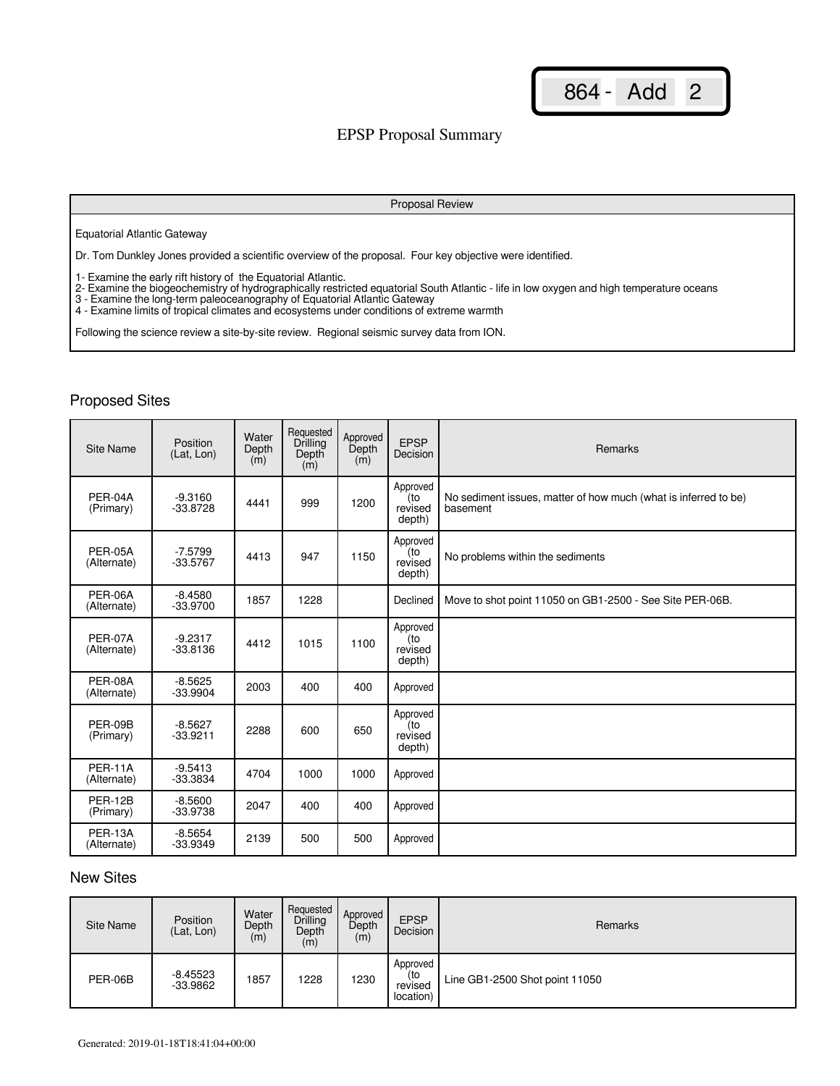### EPSP Proposal Summary

#### Proposal Review

#### Equatorial Atlantic Gateway

Dr. Tom Dunkley Jones provided a scientific overview of the proposal. Four key objective were identified.

1- Examine the early rift history of the Equatorial Atlantic.

- 2- Examine the biogeochemistry of hydrographically restricted equatorial South Atlantic life in low oxygen and high temperature oceans
- 3 Examine the long-term paleoceanography of Equatorial Atlantic Gateway
- 4 Examine limits of tropical climates and ecosystems under conditions of extreme warmth

Following the science review a site-by-site review. Regional seismic survey data from ION.

## Proposed Sites

| Site Name                     | Position<br>(Lat, Lon)  | Water<br>Depth<br>(m) | Requested<br>Drilling<br>Depth<br>(m) | Approved<br>Depth<br>(m) | <b>EPSP</b><br>Decision              | Remarks                                                                     |
|-------------------------------|-------------------------|-----------------------|---------------------------------------|--------------------------|--------------------------------------|-----------------------------------------------------------------------------|
| PER-04A<br>(Primary)          | $-9.3160$<br>$-33.8728$ | 4441                  | 999                                   | 1200                     | Approved<br>(to<br>revised<br>depth) | No sediment issues, matter of how much (what is inferred to be)<br>basement |
| PER-05A<br>(Alternate)        | $-7.5799$<br>$-33.5767$ | 4413                  | 947                                   | 1150                     | Approved<br>(to<br>revised<br>depth) | No problems within the sediments                                            |
| PER-06A<br>(Alternate)        | $-8.4580$<br>$-33.9700$ | 1857                  | 1228                                  |                          | Declined                             | Move to shot point 11050 on GB1-2500 - See Site PER-06B.                    |
| PER-07A<br>(Alternate)        | $-9.2317$<br>$-33.8136$ | 4412                  | 1015                                  | 1100                     | Approved<br>(to<br>revised<br>depth) |                                                                             |
| PER-08A<br>(Alternate)        | $-8.5625$<br>$-33.9904$ | 2003                  | 400                                   | 400                      | Approved                             |                                                                             |
| PER-09B<br>(Primary)          | $-8.5627$<br>$-33.9211$ | 2288                  | 600                                   | 650                      | Approved<br>(to<br>revised<br>depth) |                                                                             |
| <b>PER-11A</b><br>(Alternate) | $-9.5413$<br>$-33.3834$ | 4704                  | 1000                                  | 1000                     | Approved                             |                                                                             |
| PER-12B<br>(Primary)          | $-8.5600$<br>$-33.9738$ | 2047                  | 400                                   | 400                      | Approved                             |                                                                             |
| PER-13A<br>(Alternate)        | $-8.5654$<br>$-33.9349$ | 2139                  | 500                                   | 500                      | Approved                             |                                                                             |

## New Sites

| Site Name | Position<br>(Lat, Lon) | Water<br>Depth<br>(m) | Requested<br>Drilling<br>Depth<br>(m) | Approved<br>Depth<br>(m) | <b>EPSP</b><br>Decision                 | Remarks                        |
|-----------|------------------------|-----------------------|---------------------------------------|--------------------------|-----------------------------------------|--------------------------------|
| PER-06B   | $-8.45523$<br>-33.9862 | 1857                  | 1228                                  | 1230                     | Approved<br>(to<br>revised<br>location) | Line GB1-2500 Shot point 11050 |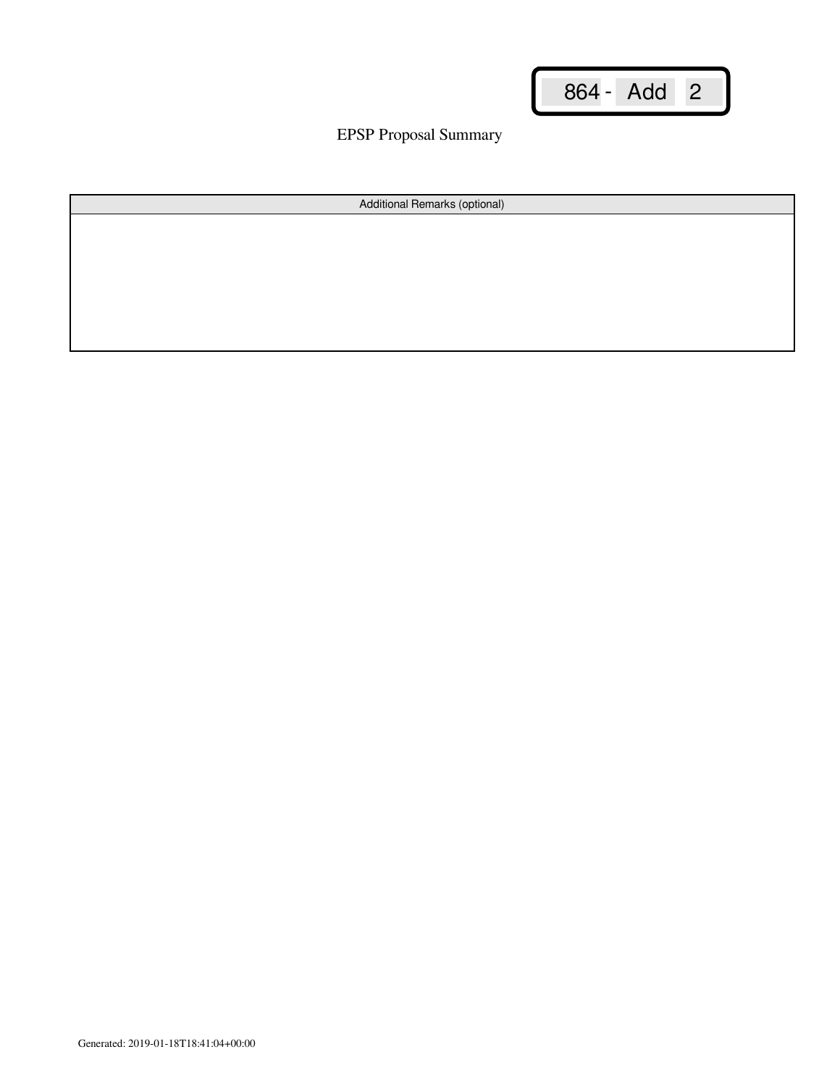EPSP Proposal Summary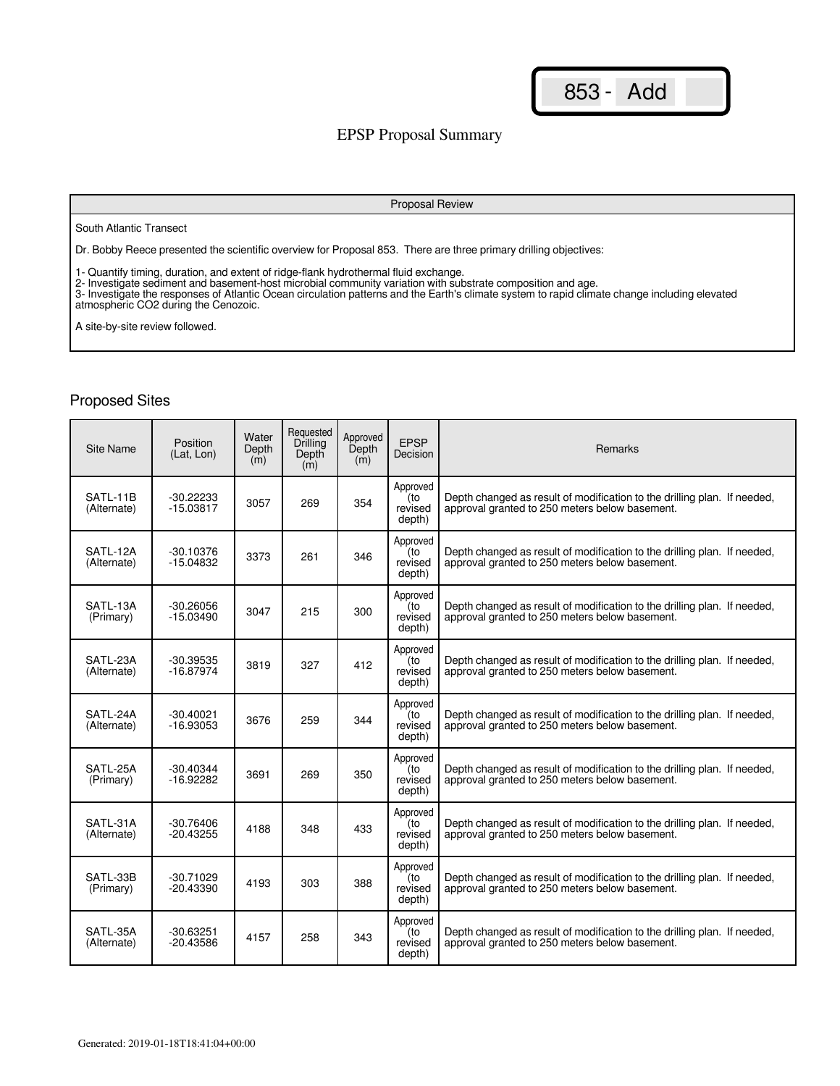### EPSP Proposal Summary

#### Proposal Review

South Atlantic Transect

Dr. Bobby Reece presented the scientific overview for Proposal 853. There are three primary drilling objectives:

1- Quantify timing, duration, and extent of ridge-flank hydrothermal fluid exchange.

2- Investigate sediment and basement-host microbial community variation with substrate composition and age.

3- Investigate the responses of Atlantic Ocean circulation patterns and the Earth's climate system to rapid climate change including elevated atmospheric CO2 during the Cenozoic.

A site-by-site review followed.

| Site Name               | Position<br>(Lat. Lon)     | Water<br>Depth<br>(m) | Requested<br><b>Drilling</b><br>Depth<br>(m) | Approved<br>Depth<br>(m) | <b>EPSP</b><br>Decision              | <b>Remarks</b>                                                                                                             |
|-------------------------|----------------------------|-----------------------|----------------------------------------------|--------------------------|--------------------------------------|----------------------------------------------------------------------------------------------------------------------------|
| SATL-11B<br>(Alternate) | $-30.22233$<br>$-15.03817$ | 3057                  | 269                                          | 354                      | Approved<br>(to<br>revised<br>depth) | Depth changed as result of modification to the drilling plan. If needed,<br>approval granted to 250 meters below basement. |
| SATL-12A<br>(Alternate) | $-30.10376$<br>$-15.04832$ | 3373                  | 261                                          | 346                      | Approved<br>(to<br>revised<br>depth) | Depth changed as result of modification to the drilling plan. If needed,<br>approval granted to 250 meters below basement. |
| SATL-13A<br>(Primary)   | $-30.26056$<br>$-15.03490$ | 3047                  | 215                                          | 300                      | Approved<br>(to<br>revised<br>depth) | Depth changed as result of modification to the drilling plan. If needed,<br>approval granted to 250 meters below basement. |
| SATL-23A<br>(Alternate) | $-30.39535$<br>$-16.87974$ | 3819                  | 327                                          | 412                      | Approved<br>(to<br>revised<br>depth) | Depth changed as result of modification to the drilling plan. If needed,<br>approval granted to 250 meters below basement. |
| SATL-24A<br>(Alternate) | $-30.40021$<br>$-16.93053$ | 3676                  | 259                                          | 344                      | Approved<br>(to<br>revised<br>depth) | Depth changed as result of modification to the drilling plan. If needed,<br>approval granted to 250 meters below basement. |
| SATL-25A<br>(Primary)   | $-30.40344$<br>$-16.92282$ | 3691                  | 269                                          | 350                      | Approved<br>(to<br>revised<br>depth) | Depth changed as result of modification to the drilling plan. If needed,<br>approval granted to 250 meters below basement. |
| SATL-31A<br>(Alternate) | $-30.76406$<br>$-20.43255$ | 4188                  | 348                                          | 433                      | Approved<br>(to<br>revised<br>depth) | Depth changed as result of modification to the drilling plan. If needed,<br>approval granted to 250 meters below basement. |
| SATL-33B<br>(Primary)   | $-30.71029$<br>$-20.43390$ | 4193                  | 303                                          | 388                      | Approved<br>to)<br>revised<br>depth) | Depth changed as result of modification to the drilling plan. If needed,<br>approval granted to 250 meters below basement. |
| SATL-35A<br>(Alternate) | $-30.63251$<br>$-20.43586$ | 4157                  | 258                                          | 343                      | Approved<br>(to<br>revised<br>depth) | Depth changed as result of modification to the drilling plan. If needed,<br>approval granted to 250 meters below basement. |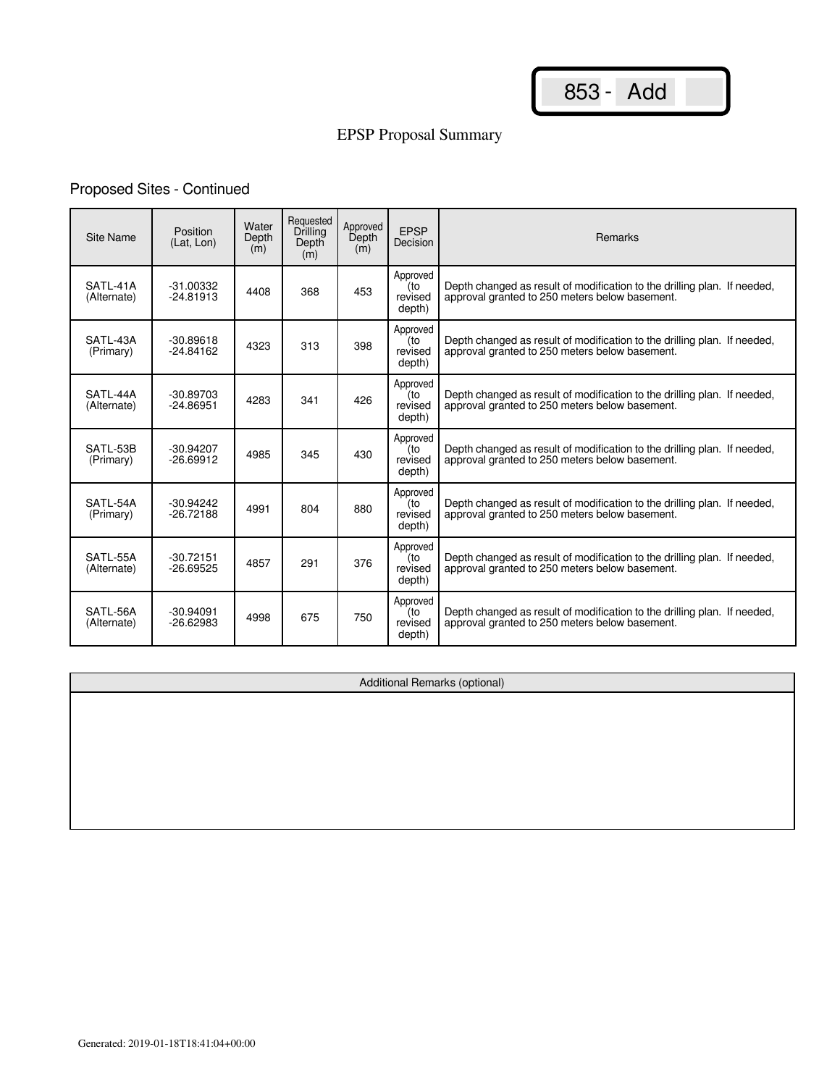# EPSP Proposal Summary

## Proposed Sites - Continued

| Site Name               | Position<br>(Lat. Lon)     | Water<br>Depth<br>(m) | Requested<br>Drilling<br>Depth<br>(m) | Approved<br>Depth<br>(m) | <b>EPSP</b><br>Decision              | <b>Remarks</b>                                                                                                             |
|-------------------------|----------------------------|-----------------------|---------------------------------------|--------------------------|--------------------------------------|----------------------------------------------------------------------------------------------------------------------------|
| SATL-41A<br>(Alternate) | $-31.00332$<br>$-24.81913$ | 4408                  | 368                                   | 453                      | Approved<br>(to<br>revised<br>depth) | Depth changed as result of modification to the drilling plan. If needed,<br>approval granted to 250 meters below basement. |
| SATL-43A<br>(Primary)   | $-30.89618$<br>$-24.84162$ | 4323                  | 313                                   | 398                      | Approved<br>(to<br>revised<br>depth) | Depth changed as result of modification to the drilling plan. If needed,<br>approval granted to 250 meters below basement. |
| SATL-44A<br>(Alternate) | $-30.89703$<br>$-24.86951$ | 4283                  | 341                                   | 426                      | Approved<br>(to<br>revised<br>depth) | Depth changed as result of modification to the drilling plan. If needed,<br>approval granted to 250 meters below basement. |
| SATL-53B<br>(Primary)   | $-30.94207$<br>$-26.69912$ | 4985                  | 345                                   | 430                      | Approved<br>(to<br>revised<br>depth) | Depth changed as result of modification to the drilling plan. If needed,<br>approval granted to 250 meters below basement. |
| SATL-54A<br>(Primary)   | $-30.94242$<br>$-26.72188$ | 4991                  | 804                                   | 880                      | Approved<br>(to<br>revised<br>depth) | Depth changed as result of modification to the drilling plan. If needed,<br>approval granted to 250 meters below basement. |
| SATL-55A<br>(Alternate) | $-30.72151$<br>$-26.69525$ | 4857                  | 291                                   | 376                      | Approved<br>(to<br>revised<br>depth) | Depth changed as result of modification to the drilling plan. If needed,<br>approval granted to 250 meters below basement. |
| SATL-56A<br>(Alternate) | $-30.94091$<br>$-26.62983$ | 4998                  | 675                                   | 750                      | Approved<br>(to<br>revised<br>depth) | Depth changed as result of modification to the drilling plan. If needed,<br>approval granted to 250 meters below basement. |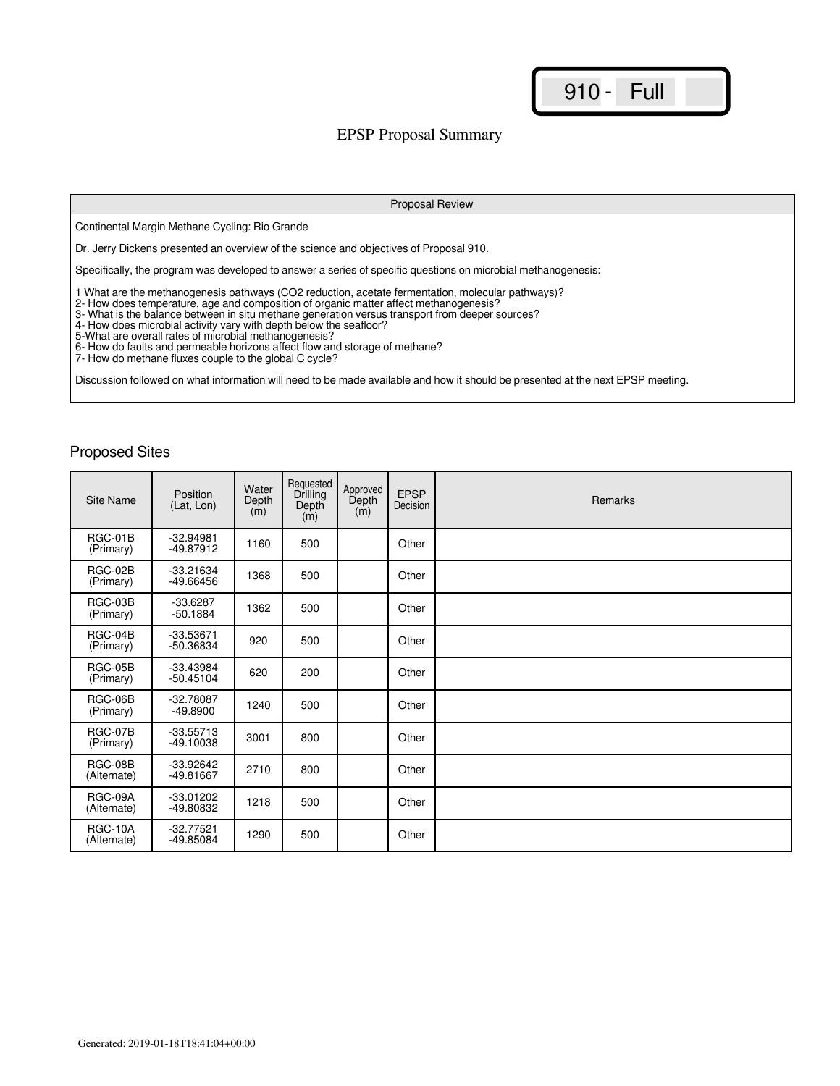### EPSP Proposal Summary

Proposal Review

Continental Margin Methane Cycling: Rio Grande

Dr. Jerry Dickens presented an overview of the science and objectives of Proposal 910.

Specifically, the program was developed to answer a series of specific questions on microbial methanogenesis:

1 What are the methanogenesis pathways (CO2 reduction, acetate fermentation, molecular pathways)?

2- How does temperature, age and composition of organic matter affect methanogenesis?

3- What is the balance between in situ methane generation versus transport from deeper sources?

4- How does microbial activity vary with depth below the seafloor?

5-What are overall rates of microbial methanogenesis?

6- How do faults and permeable horizons affect flow and storage of methane?

7- How do methane fluxes couple to the global C cycle?

Discussion followed on what information will need to be made available and how it should be presented at the next EPSP meeting.

| Site Name                     | Position<br>(Lat, Lon)     | Water<br>Depth<br>(m) | Requested<br>Drilling<br>Depth<br>(m) | Approved<br>Depth<br>(m) | <b>EPSP</b><br>Decision | Remarks |
|-------------------------------|----------------------------|-----------------------|---------------------------------------|--------------------------|-------------------------|---------|
| RGC-01B<br>(Primary)          | $-32.94981$<br>$-49.87912$ | 1160                  | 500                                   |                          | Other                   |         |
| RGC-02B<br>(Primary)          | -33.21634<br>-49.66456     | 1368                  | 500                                   |                          | Other                   |         |
| RGC-03B<br>(Primary)          | $-33.6287$<br>$-50.1884$   | 1362                  | 500                                   |                          | Other                   |         |
| RGC-04B<br>(Primary)          | $-33.53671$<br>$-50.36834$ | 920                   | 500                                   |                          | Other                   |         |
| RGC-05B<br>(Primary)          | $-33.43984$<br>$-50.45104$ | 620                   | 200                                   |                          | Other                   |         |
| RGC-06B<br>(Primary)          | $-32.78087$<br>$-49.8900$  | 1240                  | 500                                   |                          | Other                   |         |
| RGC-07B<br>(Primary)          | $-33.55713$<br>$-49.10038$ | 3001                  | 800                                   |                          | Other                   |         |
| RGC-08B<br>(Alternate)        | $-33.92642$<br>-49.81667   | 2710                  | 800                                   |                          | Other                   |         |
| RGC-09A<br>(Alternate)        | $-33.01202$<br>-49.80832   | 1218                  | 500                                   |                          | Other                   |         |
| <b>RGC-10A</b><br>(Alternate) | $-32.77521$<br>-49.85084   | 1290                  | 500                                   |                          | Other                   |         |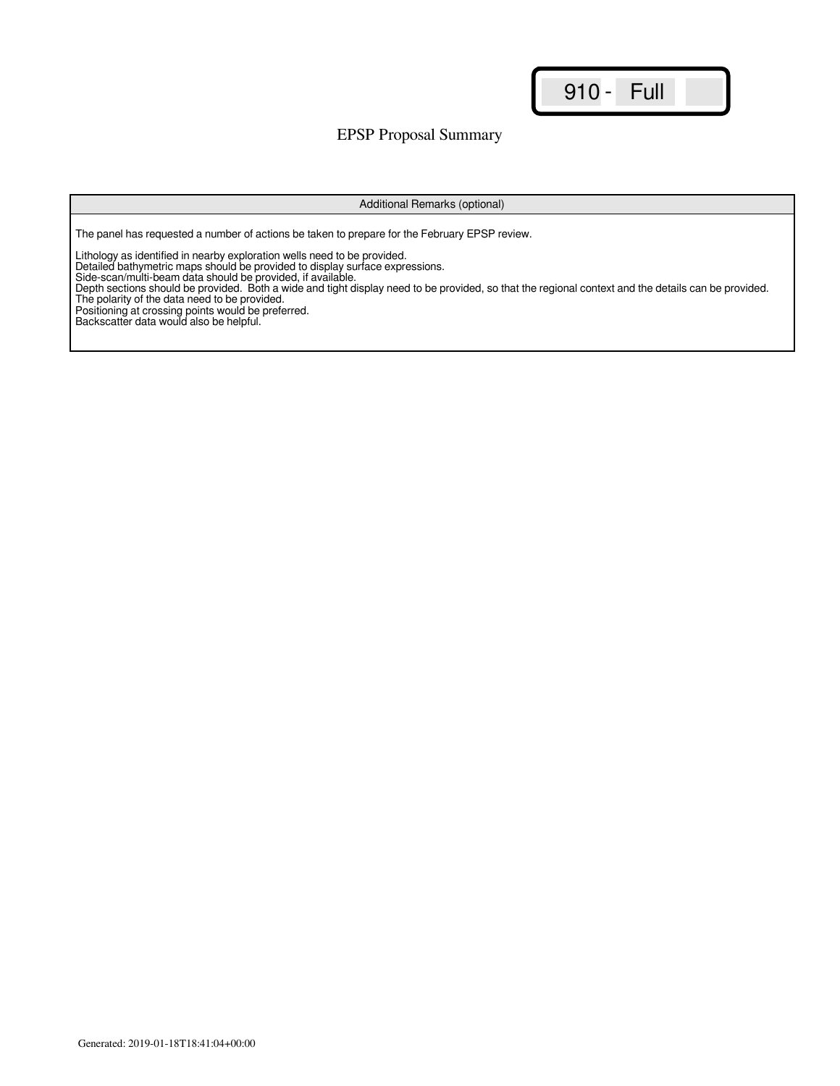### EPSP Proposal Summary

Additional Remarks (optional)

The panel has requested a number of actions be taken to prepare for the February EPSP review.

Lithology as identified in nearby exploration wells need to be provided.

Detailed bathymetric maps should be provided to display surface expressions.

Side-scan/multi-beam data should be provided, if available.

Depth sections should be provided. Both a wide and tight display need to be provided, so that the regional context and the details can be provided. The polarity of the data need to be provided.

Positioning at crossing points would be preferred.

Backscatter data would also be helpful.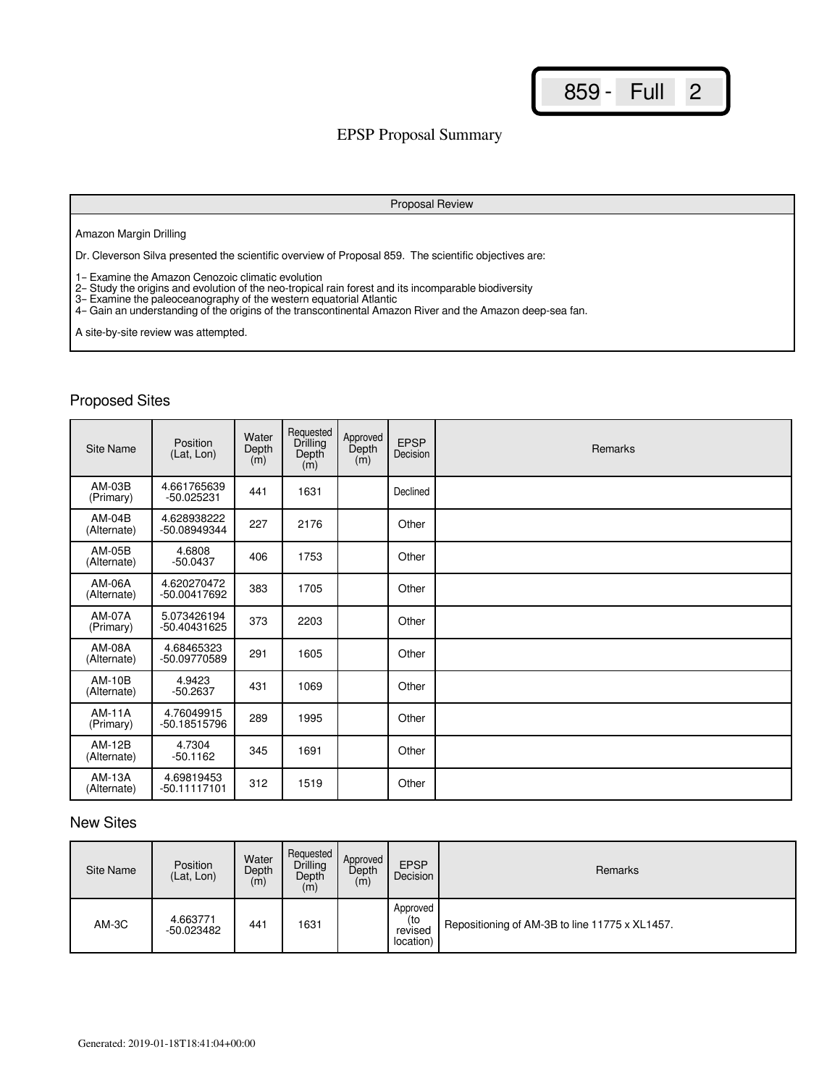### EPSP Proposal Summary

#### Proposal Review

#### Amazon Margin Drilling

Dr. Cleverson Silva presented the scientific overview of Proposal 859. The scientific objectives are:

1– Examine the Amazon Cenozoic climatic evolution

2– Study the origins and evolution of the neo-tropical rain forest and its incomparable biodiversity

3– Examine the paleoceanography of the western equatorial Atlantic

4– Gain an understanding of the origins of the transcontinental Amazon River and the Amazon deep-sea fan.

A site-by-site review was attempted.

## Proposed Sites

| Site Name                    | Position<br>(Lat, Lon)       | Water<br>Depth<br>(m) | Requested<br>Drilling<br>Depth<br>(m) | Approved<br>Depth<br>(m) | <b>EPSP</b><br>Decision | Remarks |
|------------------------------|------------------------------|-----------------------|---------------------------------------|--------------------------|-------------------------|---------|
| AM-03B<br>(Primary)          | 4.661765639<br>-50.025231    | 441                   | 1631                                  |                          | Declined                |         |
| AM-04B<br>(Alternate)        | 4.628938222<br>-50.08949344  | 227                   | 2176                                  |                          | Other                   |         |
| AM-05B<br>(Alternate)        | 4.6808<br>$-50.0437$         | 406                   | 1753                                  |                          | Other                   |         |
| AM-06A<br>(Alternate)        | 4.620270472<br>-50.00417692  | 383                   | 1705                                  |                          | Other                   |         |
| AM-07A<br>(Primary)          | 5.073426194<br>-50.40431625  | 373                   | 2203                                  |                          | Other                   |         |
| <b>AM-08A</b><br>(Alternate) | 4.68465323<br>-50.09770589   | 291                   | 1605                                  |                          | Other                   |         |
| <b>AM-10B</b><br>(Alternate) | 4.9423<br>$-50.2637$         | 431                   | 1069                                  |                          | Other                   |         |
| <b>AM-11A</b><br>(Primary)   | 4.76049915<br>-50.18515796   | 289                   | 1995                                  |                          | Other                   |         |
| <b>AM-12B</b><br>(Alternate) | 4.7304<br>$-50.1162$         | 345                   | 1691                                  |                          | Other                   |         |
| AM-13A<br>(Alternate)        | 4.69819453<br>$-50.11117101$ | 312                   | 1519                                  |                          | Other                   |         |

#### New Sites

| Site Name | Position<br>(Lat. Lon) | Water<br>Depth<br>(m) | Requested<br>Drilling<br>Depth<br>(m) | Approved<br>Depth<br>(m) | <b>EPSP</b><br>Decision                 | Remarks                                        |
|-----------|------------------------|-----------------------|---------------------------------------|--------------------------|-----------------------------------------|------------------------------------------------|
| AM-3C     | 4.663771<br>-50.023482 | 441                   | 1631                                  |                          | Approved<br>(to<br>revised<br>location) | Repositioning of AM-3B to line 11775 x XL1457. |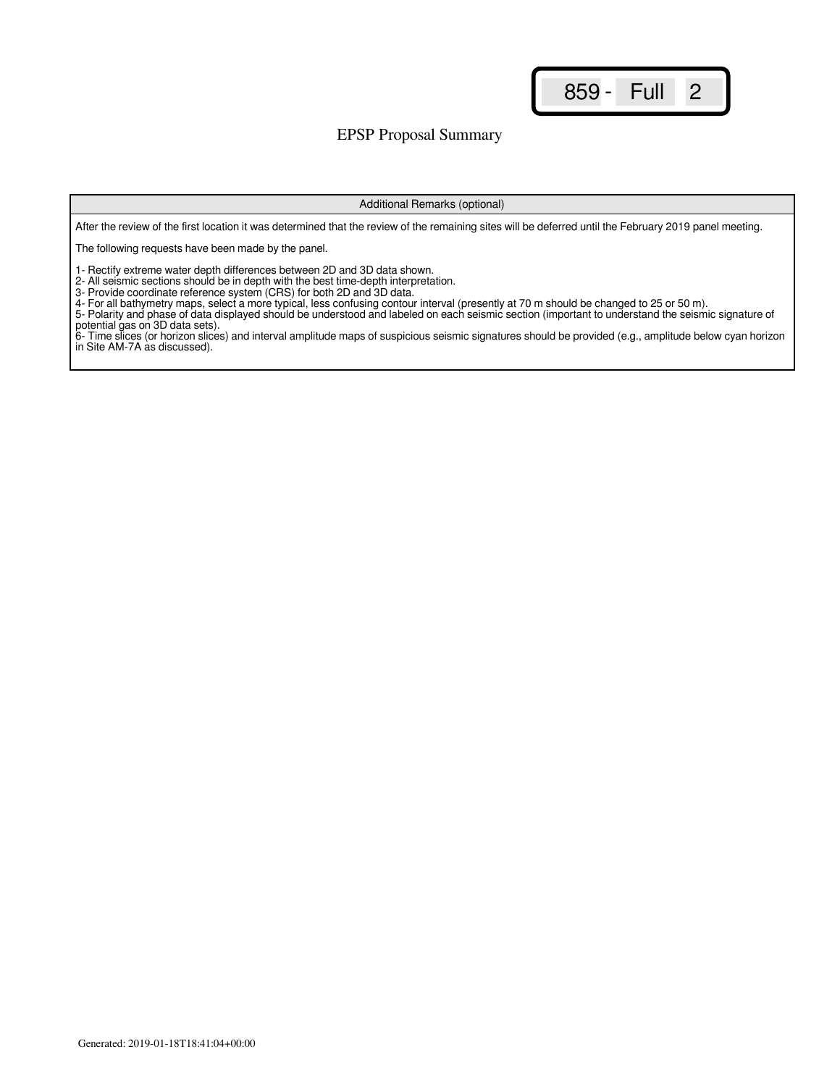### EPSP Proposal Summary

#### Additional Remarks (optional)

After the review of the first location it was determined that the review of the remaining sites will be deferred until the February 2019 panel meeting.

The following requests have been made by the panel.

1- Rectify extreme water depth differences between 2D and 3D data shown.

2- All seismic sections should be in depth with the best time-depth interpretation.

3- Provide coordinate reference system (CRS) for both 2D and 3D data.

4- For all bathymetry maps, select a more typical, less confusing contour interval (presently at 70 m should be changed to 25 or 50 m).

5- Polarity and phase of data displayed should be understood and labeled on each seismic section (important to understand the seismic signature of potential gas on 3D data sets).

6- Time slices (or horizon slices) and interval amplitude maps of suspicious seismic signatures should be provided (e.g., amplitude below cyan horizon in Site AM-7A as discussed).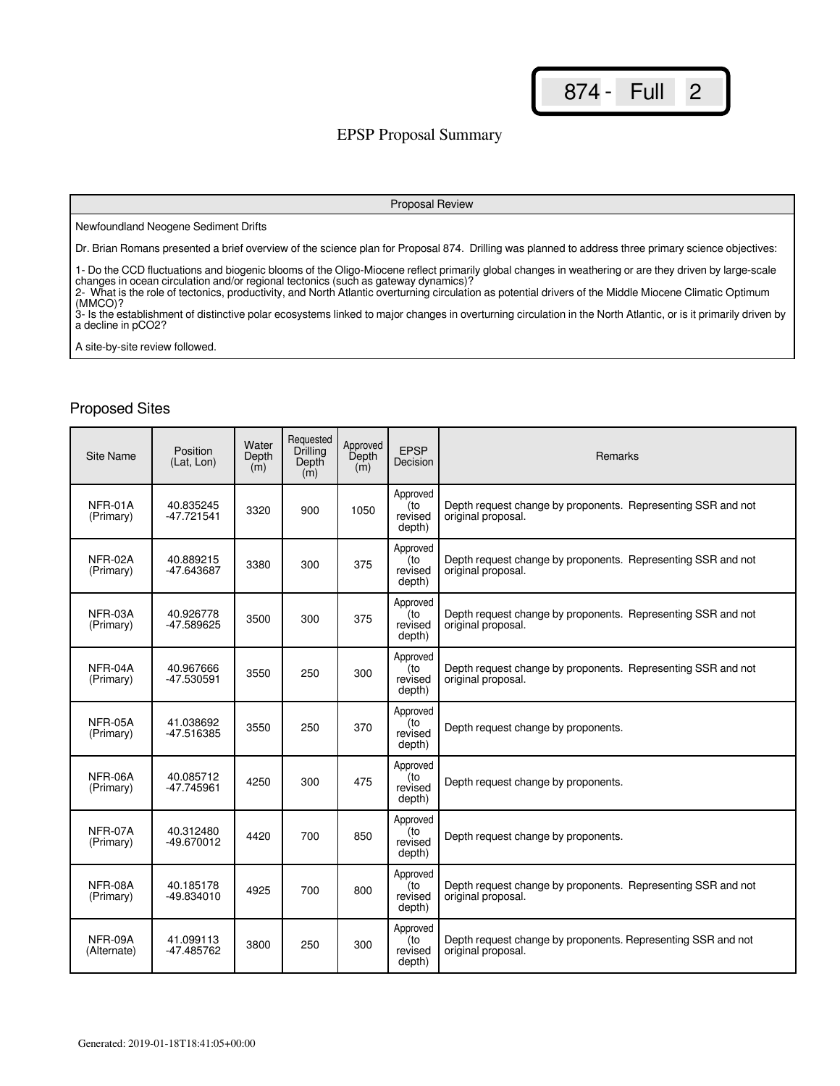### EPSP Proposal Summary

#### Proposal Review

#### Newfoundland Neogene Sediment Drifts

Dr. Brian Romans presented a brief overview of the science plan for Proposal 874. Drilling was planned to address three primary science objectives:

1- Do the CCD fluctuations and biogenic blooms of the Oligo-Miocene reflect primarily global changes in weathering or are they driven by large-scale changes in ocean circulation and/or regional tectonics (such as gateway dynamics)?

2- What is the role of tectonics, productivity, and North Atlantic overturning circulation as potential drivers of the Middle Miocene Climatic Optimum (MMCO)?

3- Is the establishment of distinctive polar ecosystems linked to major changes in overturning circulation in the North Atlantic, or is it primarily driven by a decline in pCO2?

A site-by-site review followed.

| Site Name              | Position<br>(Lat, Lon)  | Water<br>Depth<br>(m) | Requested<br>Drilling<br>Depth<br>(m) | Approved<br>Depth<br>(m) | <b>EPSP</b><br>Decision              | Remarks                                                                            |
|------------------------|-------------------------|-----------------------|---------------------------------------|--------------------------|--------------------------------------|------------------------------------------------------------------------------------|
| NFR-01A<br>(Primary)   | 40.835245<br>-47.721541 | 3320                  | 900                                   | 1050                     | Approved<br>(to<br>revised<br>depth) | Depth request change by proponents. Representing SSR and not<br>original proposal. |
| NFR-02A<br>(Primary)   | 40.889215<br>-47.643687 | 3380                  | 300                                   | 375                      | Approved<br>to)<br>revised<br>depth) | Depth request change by proponents. Representing SSR and not<br>original proposal. |
| NFR-03A<br>(Primary)   | 40.926778<br>-47.589625 | 3500                  | 300                                   | 375                      | Approved<br>(to<br>revised<br>depth) | Depth request change by proponents. Representing SSR and not<br>original proposal. |
| NFR-04A<br>(Primary)   | 40.967666<br>-47.530591 | 3550                  | 250                                   | 300                      | Approved<br>(to<br>revised<br>depth) | Depth request change by proponents. Representing SSR and not<br>original proposal. |
| NFR-05A<br>(Primary)   | 41.038692<br>-47.516385 | 3550                  | 250                                   | 370                      | Approved<br>(to<br>revised<br>depth) | Depth request change by proponents.                                                |
| NFR-06A<br>(Primary)   | 40.085712<br>-47.745961 | 4250                  | 300                                   | 475                      | Approved<br>(to<br>revised<br>depth) | Depth request change by proponents.                                                |
| NFR-07A<br>(Primary)   | 40.312480<br>-49.670012 | 4420                  | 700                                   | 850                      | Approved<br>(to<br>revised<br>depth) | Depth request change by proponents.                                                |
| NFR-08A<br>(Primary)   | 40.185178<br>-49.834010 | 4925                  | 700                                   | 800                      | Approved<br>(to<br>revised<br>depth) | Depth request change by proponents. Representing SSR and not<br>original proposal. |
| NFR-09A<br>(Alternate) | 41.099113<br>-47.485762 | 3800                  | 250                                   | 300                      | Approved<br>(to<br>revised<br>depth) | Depth request change by proponents. Representing SSR and not<br>original proposal. |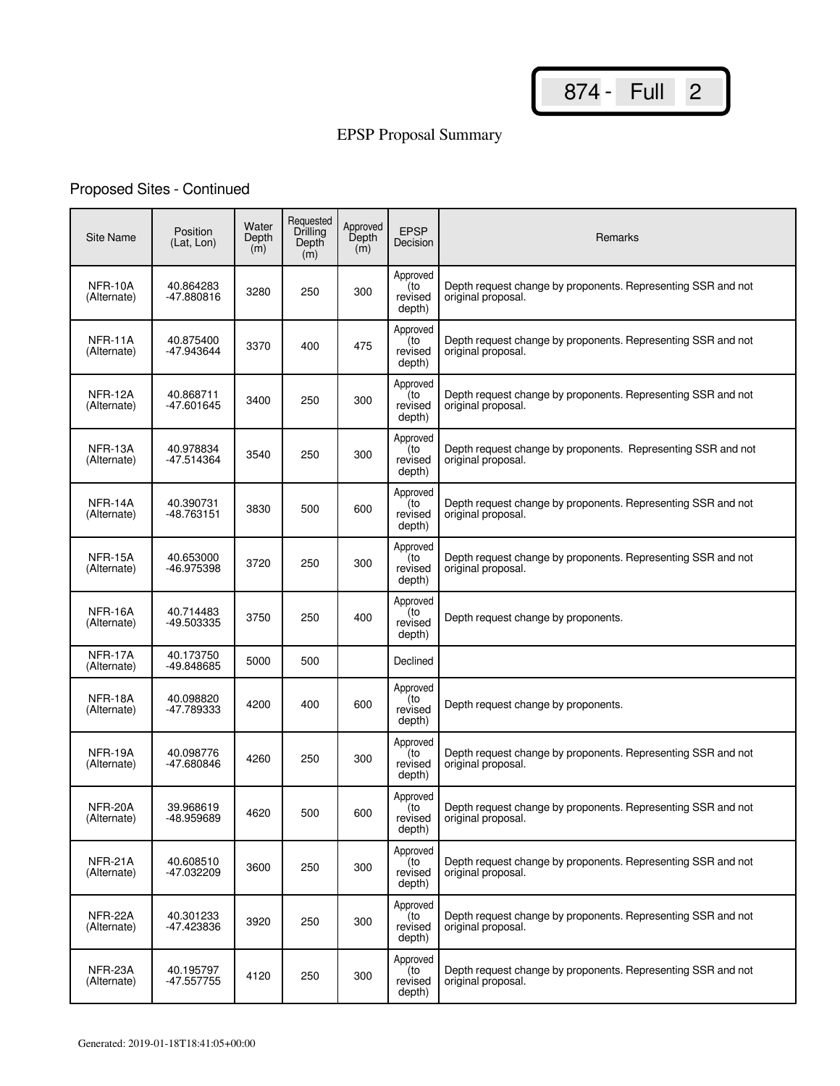# EPSP Proposal Summary

# Proposed Sites - Continued

| <b>Site Name</b>       | Position<br>(Lat, Lon)  | Water<br>Depth<br>(m) | Requested<br>Drilling<br>Depth<br>(m) | Approved<br>Depth<br>(m) | <b>EPSP</b><br>Decision              | Remarks                                                                            |
|------------------------|-------------------------|-----------------------|---------------------------------------|--------------------------|--------------------------------------|------------------------------------------------------------------------------------|
| NFR-10A<br>(Alternate) | 40.864283<br>-47.880816 | 3280                  | 250                                   | 300                      | Approved<br>(to<br>revised<br>depth) | Depth request change by proponents. Representing SSR and not<br>original proposal. |
| NFR-11A<br>(Alternate) | 40.875400<br>-47.943644 | 3370                  | 400                                   | 475                      | Approved<br>to)<br>revised<br>depth) | Depth request change by proponents. Representing SSR and not<br>original proposal. |
| NFR-12A<br>(Alternate) | 40.868711<br>-47.601645 | 3400                  | 250                                   | 300                      | Approved<br>(to<br>revised<br>depth) | Depth request change by proponents. Representing SSR and not<br>original proposal. |
| NFR-13A<br>(Alternate) | 40.978834<br>-47.514364 | 3540                  | 250                                   | 300                      | Approved<br>(to<br>revised<br>depth) | Depth request change by proponents. Representing SSR and not<br>original proposal. |
| NFR-14A<br>(Alternate) | 40.390731<br>-48.763151 | 3830                  | 500                                   | 600                      | Approved<br>(to<br>revised<br>depth) | Depth request change by proponents. Representing SSR and not<br>original proposal. |
| NFR-15A<br>(Alternate) | 40.653000<br>-46.975398 | 3720                  | 250                                   | 300                      | Approved<br>(to<br>revised<br>depth) | Depth request change by proponents. Representing SSR and not<br>original proposal. |
| NFR-16A<br>(Alternate) | 40.714483<br>-49.503335 | 3750                  | 250                                   | 400                      | Approved<br>to)<br>revised<br>depth) | Depth request change by proponents.                                                |
| NFR-17A<br>(Alternate) | 40.173750<br>-49.848685 | 5000                  | 500                                   |                          | Declined                             |                                                                                    |
| NFR-18A<br>(Alternate) | 40.098820<br>-47.789333 | 4200                  | 400                                   | 600                      | Approved<br>(to<br>revised<br>depth) | Depth request change by proponents.                                                |
| NFR-19A<br>(Alternate) | 40.098776<br>-47.680846 | 4260                  | 250                                   | 300                      | Approved<br>to)<br>revised<br>depth) | Depth request change by proponents. Representing SSR and not<br>original proposal. |
| NFR-20A<br>(Alternate) | 39.968619<br>-48.959689 | 4620                  | 500                                   | 600                      | Approved<br>(to<br>revised<br>depth) | Depth request change by proponents. Representing SSR and not<br>original proposal. |
| NFR-21A<br>(Alternate) | 40.608510<br>-47.032209 | 3600                  | 250                                   | 300                      | Approved<br>(to<br>revised<br>depth) | Depth request change by proponents. Representing SSR and not<br>original proposal. |
| NFR-22A<br>(Alternate) | 40.301233<br>-47.423836 | 3920                  | 250                                   | 300                      | Approved<br>(to<br>revised<br>depth) | Depth request change by proponents. Representing SSR and not<br>original proposal. |
| NFR-23A<br>(Alternate) | 40.195797<br>-47.557755 | 4120                  | 250                                   | 300                      | Approved<br>(to<br>revised<br>depth) | Depth request change by proponents. Representing SSR and not<br>original proposal. |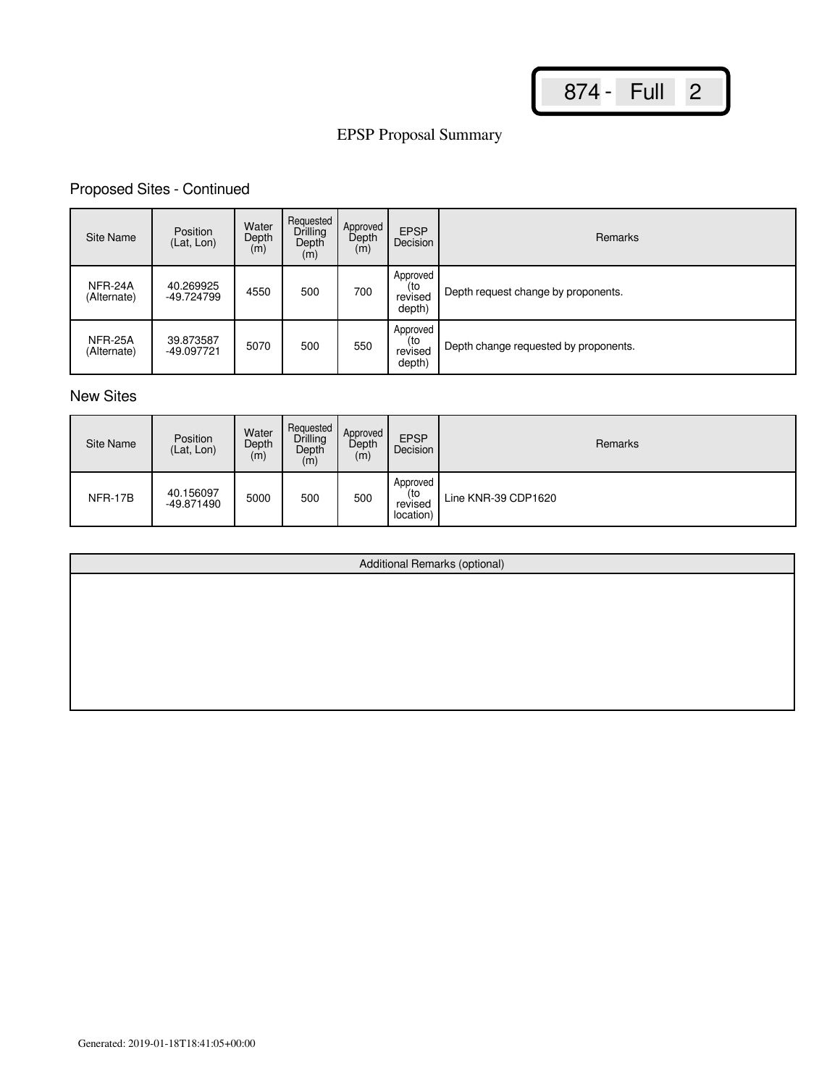# EPSP Proposal Summary

## Proposed Sites - Continued

| Site Name              | Position<br>(Lat, Lon)  | Water<br>Depth<br>(m) | Requested<br>Drilling<br>Depth<br>(m) | Approved<br>Depth<br>(m) | <b>EPSP</b><br>Decision              | Remarks                               |
|------------------------|-------------------------|-----------------------|---------------------------------------|--------------------------|--------------------------------------|---------------------------------------|
| NFR-24A<br>(Alternate) | 40.269925<br>-49.724799 | 4550                  | 500                                   | 700                      | Approved<br>(to<br>revised<br>depth) | Depth request change by proponents.   |
| NFR-25A<br>(Alternate) | 39.873587<br>-49.097721 | 5070                  | 500                                   | 550                      | Approved<br>(to<br>revised<br>depth) | Depth change requested by proponents. |

## New Sites

| Site Name | Position<br>(Lat, Lon)  | Water<br>Depth<br>(m) | Requested<br>Drilling<br>Depth<br>(m) | Approved<br>Depth<br>(m) | <b>EPSP</b><br>Decision                 | Remarks             |
|-----------|-------------------------|-----------------------|---------------------------------------|--------------------------|-----------------------------------------|---------------------|
| NFR-17B   | 40.156097<br>-49.871490 | 5000                  | 500                                   | 500                      | Approved<br>(to<br>revised<br>location) | Line KNR-39 CDP1620 |

| Additional Remarks (optional) |
|-------------------------------|
|                               |
|                               |
|                               |
|                               |
|                               |
|                               |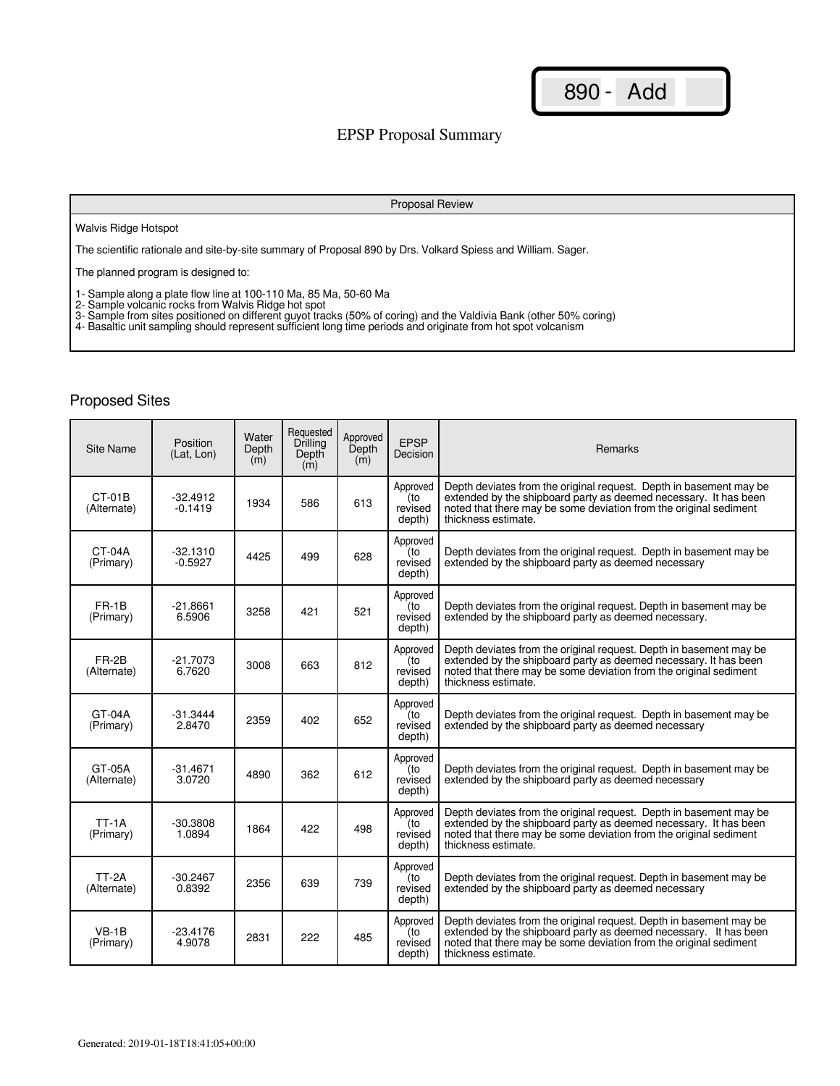### EPSP Proposal Summary

#### Proposal Review

#### Walvis Ridge Hotspot

The scientific rationale and site-by-site summary of Proposal 890 by Drs. Volkard Spiess and William. Sager.

The planned program is designed to:

1- Sample along a plate flow line at 100-110 Ma, 85 Ma, 50-60 Ma

2- Sample volcanic rocks from Walvis Ridge hot spot

3- Sample from sites positioned on different guyot tracks (50% of coring) and the Valdivia Bank (other 50% coring)

4- Basaltic unit sampling should represent sufficient long time periods and originate from hot spot volcanism

| Site Name                   | Position<br>(Lat. Lon)  | Water<br>Depth<br>(m) | Requested<br><b>Drilling</b><br>Depth<br>(m) | Approved<br>Depth<br>(m) | <b>EPSP</b><br>Decision              | <b>Remarks</b>                                                                                                                                                                                                                     |
|-----------------------------|-------------------------|-----------------------|----------------------------------------------|--------------------------|--------------------------------------|------------------------------------------------------------------------------------------------------------------------------------------------------------------------------------------------------------------------------------|
| CT-01B<br>(Alternate)       | $-32.4912$<br>$-0.1419$ | 1934                  | 586                                          | 613                      | Approved<br>(to<br>revised<br>depth) | Depth deviates from the original request. Depth in basement may be<br>extended by the shipboard party as deemed necessary. It has been<br>noted that there may be some deviation from the original sediment<br>thickness estimate. |
| CT-04A<br>(Primary)         | $-32.1310$<br>$-0.5927$ | 4425                  | 499                                          | 628                      | Approved<br>(to<br>revised<br>depth) | Depth deviates from the original request. Depth in basement may be<br>extended by the shipboard party as deemed necessary                                                                                                          |
| FR-1B<br>(Primary)          | $-21.8661$<br>6.5906    | 3258                  | 421                                          | 521                      | Approved<br>(to<br>revised<br>depth) | Depth deviates from the original request. Depth in basement may be<br>extended by the shipboard party as deemed necessary.                                                                                                         |
| FR-2B<br>(Alternate)        | $-21.7073$<br>6.7620    | 3008                  | 663                                          | 812                      | Approved<br>(to<br>revised<br>depth) | Depth deviates from the original request. Depth in basement may be<br>extended by the shipboard party as deemed necessary. It has been<br>noted that there may be some deviation from the original sediment<br>thickness estimate. |
| $GT-04A$<br>(Primary)       | $-31.3444$<br>2.8470    | 2359                  | 402                                          | 652                      | Approved<br>(to<br>revised<br>depth) | Depth deviates from the original request. Depth in basement may be<br>extended by the shipboard party as deemed necessary                                                                                                          |
| GT-05A<br>(Alternate)       | $-31.4671$<br>3.0720    | 4890                  | 362                                          | 612                      | Approved<br>to)<br>revised<br>depth) | Depth deviates from the original request. Depth in basement may be<br>extended by the shipboard party as deemed necessary                                                                                                          |
| <b>TT-1A</b><br>(Primary)   | $-30.3808$<br>1.0894    | 1864                  | 422                                          | 498                      | Approved<br>(to<br>revised<br>depth) | Depth deviates from the original request. Depth in basement may be<br>extended by the shipboard party as deemed necessary. It has been<br>noted that there may be some deviation from the original sediment<br>thickness estimate. |
| <b>TT-2A</b><br>(Alternate) | $-30.2467$<br>0.8392    | 2356                  | 639                                          | 739                      | Approved<br>to)<br>revised<br>depth) | Depth deviates from the original request. Depth in basement may be<br>extended by the shipboard party as deemed necessary                                                                                                          |
| $VB-1B$<br>(Primary)        | $-23.4176$<br>4.9078    | 2831                  | 222                                          | 485                      | Approved<br>(to<br>revised<br>depth) | Depth deviates from the original request. Depth in basement may be<br>extended by the shipboard party as deemed necessary. It has been<br>noted that there may be some deviation from the original sediment<br>thickness estimate. |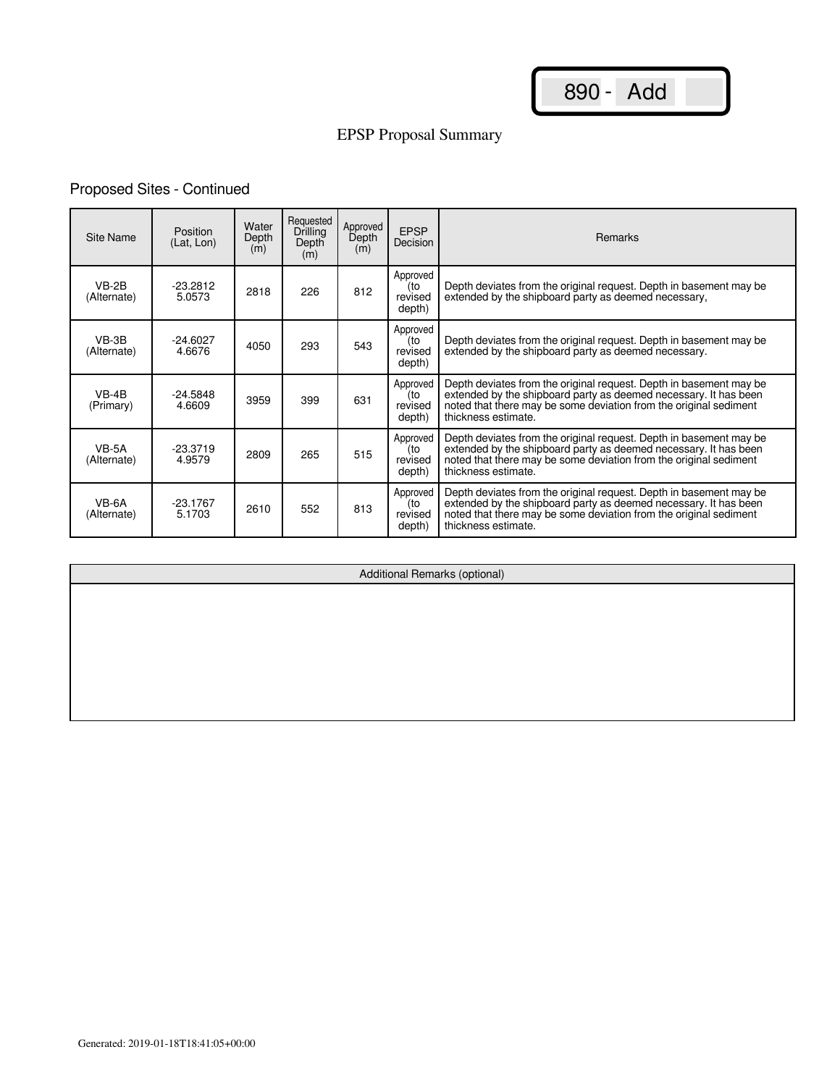# EPSP Proposal Summary

## Proposed Sites - Continued

| Site Name              | <b>Position</b><br>(Lat, Lon) | Water<br>Depth<br>(m) | Requested<br>Drilling<br>Depth<br>(m) | Approved<br>Depth<br>(m) | <b>EPSP</b><br>Decision              | <b>Remarks</b>                                                                                                                                                                                                                     |
|------------------------|-------------------------------|-----------------------|---------------------------------------|--------------------------|--------------------------------------|------------------------------------------------------------------------------------------------------------------------------------------------------------------------------------------------------------------------------------|
| $VB-2B$<br>(Alternate) | $-23.2812$<br>5.0573          | 2818                  | 226                                   | 812                      | Approved<br>(to<br>revised<br>depth) | Depth deviates from the original request. Depth in basement may be<br>extended by the shipboard party as deemed necessary,                                                                                                         |
| VB-3B<br>(Alternate)   | $-24.6027$<br>4.6676          | 4050                  | 293                                   | 543                      | Approved<br>(to<br>revised<br>depth) | Depth deviates from the original request. Depth in basement may be<br>extended by the shipboard party as deemed necessary.                                                                                                         |
| $VB-4B$<br>(Primary)   | $-24.5848$<br>4.6609          | 3959                  | 399                                   | 631                      | Approved<br>(to<br>revised<br>depth) | Depth deviates from the original request. Depth in basement may be extended by the shipboard party as deemed necessary. It has been<br>noted that there may be some deviation from the original sediment<br>thickness estimate.    |
| $VB-5A$<br>(Alternate) | $-23.3719$<br>4.9579          | 2809                  | 265                                   | 515                      | Approved<br>(to<br>revised<br>depth) | Depth deviates from the original request. Depth in basement may be<br>extended by the shipboard party as deemed necessary. It has been<br>noted that there may be some deviation from the original sediment<br>thickness estimate. |
| VB-6A<br>(Alternate)   | $-23.1767$<br>5.1703          | 2610                  | 552                                   | 813                      | Approved<br>(to<br>revised<br>depth) | Depth deviates from the original request. Depth in basement may be<br>extended by the shipboard party as deemed necessary. It has been<br>noted that there may be some deviation from the original sediment<br>thickness estimate. |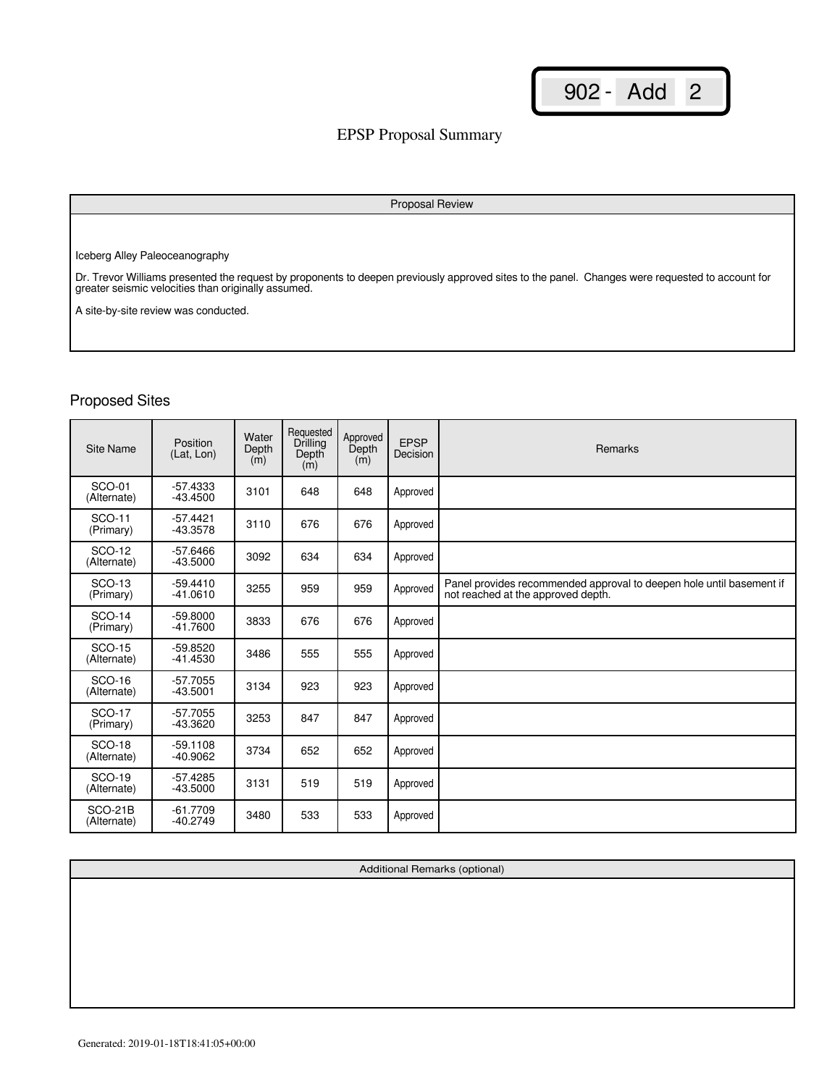## EPSP Proposal Summary

#### Proposal Review

Iceberg Alley Paleoceanography

Dr. Trevor Williams presented the request by proponents to deepen previously approved sites to the panel. Changes were requested to account for greater seismic velocities than originally assumed.

A site-by-site review was conducted.

## Proposed Sites

| Site Name                     | Position<br>(Lat, Lon)   | Water<br>Depth<br>(m) | Requested<br>Drilling<br>Depth<br>(m) | Approved<br>Depth<br>(m) | <b>EPSP</b><br>Decision | Remarks                                                                                                    |
|-------------------------------|--------------------------|-----------------------|---------------------------------------|--------------------------|-------------------------|------------------------------------------------------------------------------------------------------------|
| SCO-01<br>(Alternate)         | $-57.4333$<br>$-43.4500$ | 3101                  | 648                                   | 648                      | Approved                |                                                                                                            |
| <b>SCO-11</b><br>(Primary)    | $-57.4421$<br>$-43.3578$ | 3110                  | 676                                   | 676                      | Approved                |                                                                                                            |
| <b>SCO-12</b><br>(Alternate)  | $-57.6466$<br>$-43.5000$ | 3092                  | 634                                   | 634                      | Approved                |                                                                                                            |
| <b>SCO-13</b><br>(Primary)    | $-59.4410$<br>$-41.0610$ | 3255                  | 959                                   | 959                      | Approved                | Panel provides recommended approval to deepen hole until basement if<br>not reached at the approved depth. |
| <b>SCO-14</b><br>(Primary)    | $-59.8000$<br>$-41.7600$ | 3833                  | 676                                   | 676                      | Approved                |                                                                                                            |
| <b>SCO-15</b><br>(Alternate)  | $-59.8520$<br>$-41.4530$ | 3486                  | 555                                   | 555                      | Approved                |                                                                                                            |
| <b>SCO-16</b><br>(Alternate)  | $-57.7055$<br>$-43.5001$ | 3134                  | 923                                   | 923                      | Approved                |                                                                                                            |
| <b>SCO-17</b><br>(Primary)    | $-57.7055$<br>-43.3620   | 3253                  | 847                                   | 847                      | Approved                |                                                                                                            |
| <b>SCO-18</b><br>(Alternate)  | $-59.1108$<br>$-40.9062$ | 3734                  | 652                                   | 652                      | Approved                |                                                                                                            |
| <b>SCO-19</b><br>(Alternate)  | $-57.4285$<br>$-43.5000$ | 3131                  | 519                                   | 519                      | Approved                |                                                                                                            |
| <b>SCO-21B</b><br>(Alternate) | $-61.7709$<br>$-40.2749$ | 3480                  | 533                                   | 533                      | Approved                |                                                                                                            |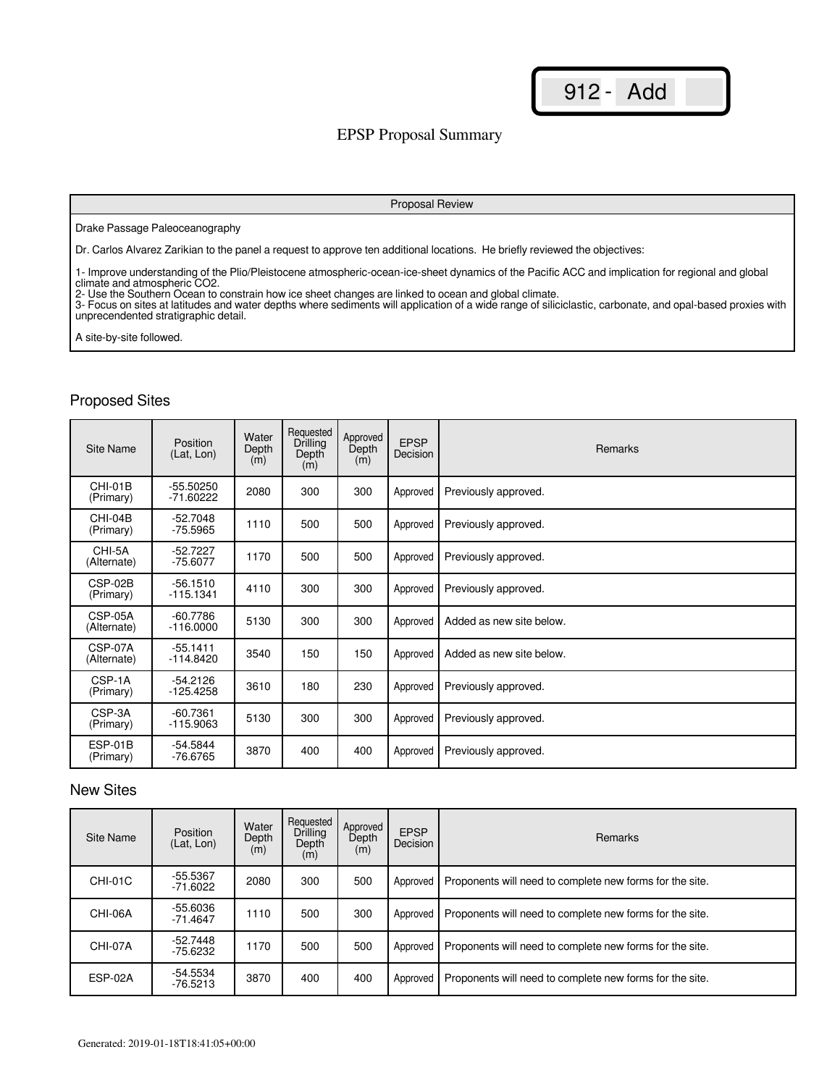### EPSP Proposal Summary

#### Proposal Review

#### Drake Passage Paleoceanography

Dr. Carlos Alvarez Zarikian to the panel a request to approve ten additional locations. He briefly reviewed the objectives:

1- Improve understanding of the Plio/Pleistocene atmospheric-ocean-ice-sheet dynamics of the Pacific ACC and implication for regional and global climate and atmospheric CO2.

2- Use the Southern Ocean to constrain how ice sheet changes are linked to ocean and global climate.

3- Focus on sites at latitudes and water depths where sediments will application of a wide range of siliciclastic, carbonate, and opal-based proxies with unprecendented stratigraphic detail.

A site-by-site followed.

## Proposed Sites

| Site Name              | Position<br>(Lat, Lon)     | Water<br>Depth<br>(m) | Requested<br>Drilling<br>Depth<br>(m) | Approved<br>Depth<br>(m) | <b>EPSP</b><br>Decision | <b>Remarks</b>           |
|------------------------|----------------------------|-----------------------|---------------------------------------|--------------------------|-------------------------|--------------------------|
| CHI-01B<br>(Primary)   | $-55.50250$<br>$-71.60222$ | 2080                  | 300                                   | 300                      | Approved                | Previously approved.     |
| CHI-04B<br>(Primary)   | $-52.7048$<br>$-75.5965$   | 1110                  | 500                                   | 500                      | Approved                | Previously approved.     |
| CHI-5A<br>(Alternate)  | $-52.7227$<br>$-75.6077$   | 1170                  | 500                                   | 500                      | Approved                | Previously approved.     |
| CSP-02B<br>(Primary)   | $-56.1510$<br>$-115.1341$  | 4110                  | 300                                   | 300                      | Approved                | Previously approved.     |
| CSP-05A<br>(Alternate) | $-60.7786$<br>$-116.0000$  | 5130                  | 300                                   | 300                      | Approved                | Added as new site below. |
| CSP-07A<br>(Alternate) | $-55.1411$<br>$-114.8420$  | 3540                  | 150                                   | 150                      | Approved                | Added as new site below. |
| CSP-1A<br>(Primary)    | $-54.2126$<br>$-125.4258$  | 3610                  | 180                                   | 230                      | Approved                | Previously approved.     |
| CSP-3A<br>(Primary)    | $-60.7361$<br>$-115.9063$  | 5130                  | 300                                   | 300                      | Approved                | Previously approved.     |
| ESP-01B<br>(Primary)   | $-54.5844$<br>$-76.6765$   | 3870                  | 400                                   | 400                      | Approved                | Previously approved.     |

#### New Sites

| Site Name      | Position<br>(Lat, Lon)   | Water<br>Depth<br>(m) | Requested<br>Drilling<br>Depth<br>(m) | Approved<br>Depth<br>(m) | <b>EPSP</b><br>Decision | <b>Remarks</b>                                           |
|----------------|--------------------------|-----------------------|---------------------------------------|--------------------------|-------------------------|----------------------------------------------------------|
| <b>CHI-01C</b> | $-55.5367$<br>$-71.6022$ | 2080                  | 300                                   | 500                      | Approved                | Proponents will need to complete new forms for the site. |
| CHI-06A        | $-55.6036$<br>$-71.4647$ | 1110                  | 500                                   | 300                      | Approved                | Proponents will need to complete new forms for the site. |
| CHI-07A        | $-52.7448$<br>$-75.6232$ | 1170                  | 500                                   | 500                      | Approved                | Proponents will need to complete new forms for the site. |
| ESP-02A        | $-54.5534$<br>$-76.5213$ | 3870                  | 400                                   | 400                      | Approved                | Proponents will need to complete new forms for the site. |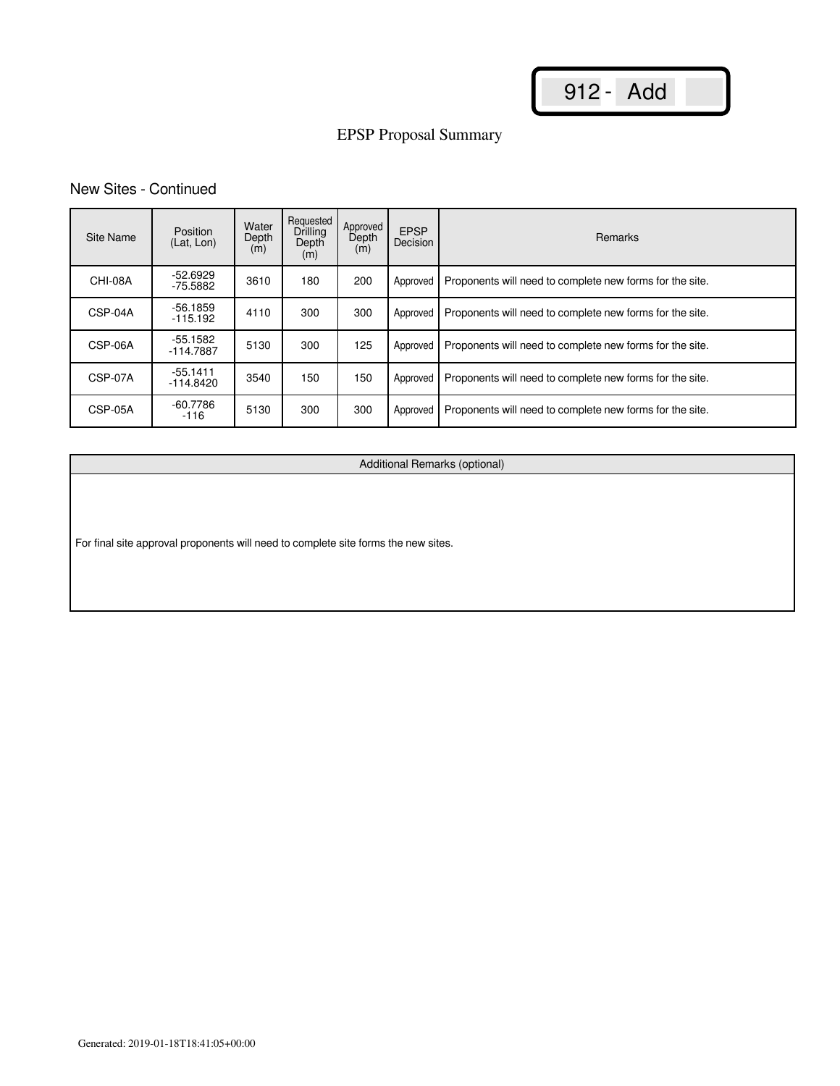# EPSP Proposal Summary

## New Sites - Continued

| Site Name | <b>Position</b><br>(Lat. Lon) | Water<br>Depth<br>(m) | Requested<br>Drilling<br>Depth<br>(m) | Approved<br>Depth<br>(m) | <b>EPSP</b><br>Decision | <b>Remarks</b>                                           |
|-----------|-------------------------------|-----------------------|---------------------------------------|--------------------------|-------------------------|----------------------------------------------------------|
| CHI-08A   | $-52.6929$<br>$-75.5882$      | 3610                  | 180                                   | 200                      | Approved                | Proponents will need to complete new forms for the site. |
| CSP-04A   | $-56.1859$<br>$-115.192$      | 4110                  | 300                                   | 300                      | Approved                | Proponents will need to complete new forms for the site. |
| CSP-06A   | $-55.1582$<br>$-114.7887$     | 5130                  | 300                                   | 125                      | Approved                | Proponents will need to complete new forms for the site. |
| CSP-07A   | $-55.1411$<br>$-114.8420$     | 3540                  | 150                                   | 150                      | Approved                | Proponents will need to complete new forms for the site. |
| CSP-05A   | $-60.7786$<br>$-116$          | 5130                  | 300                                   | 300                      | Approved                | Proponents will need to complete new forms for the site. |

Additional Remarks (optional)

For final site approval proponents will need to complete site forms the new sites.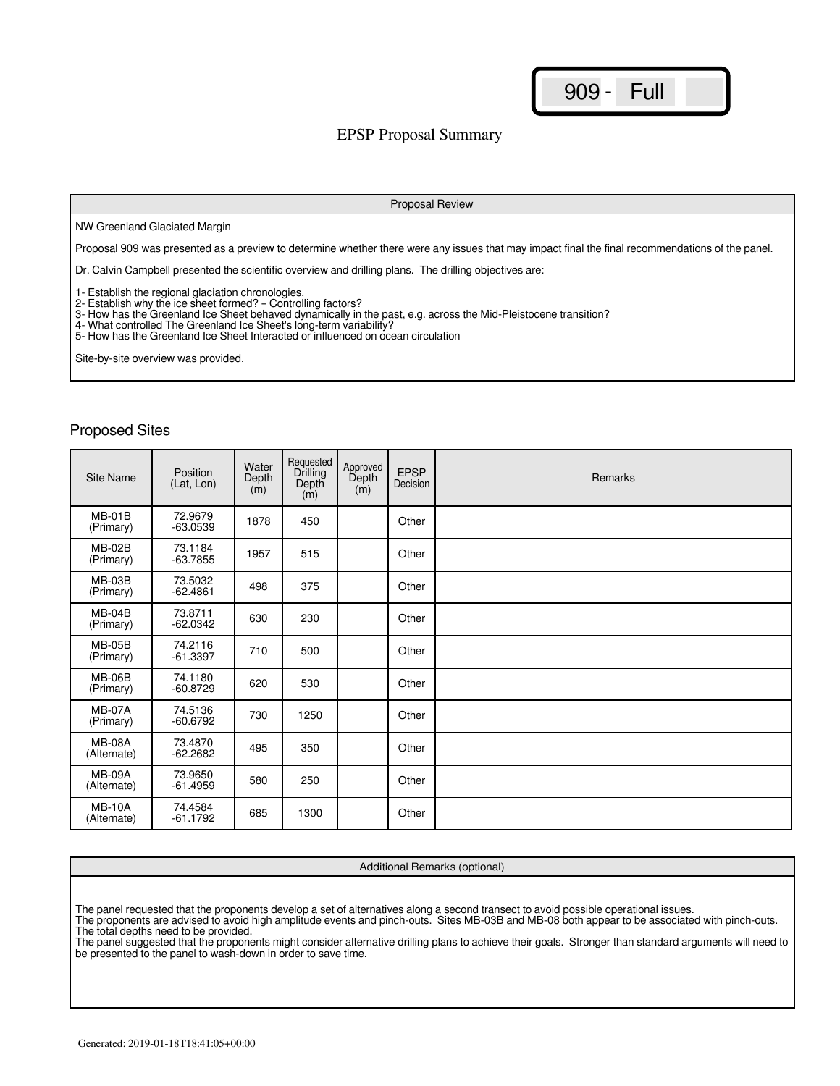### EPSP Proposal Summary

#### Proposal Review

#### NW Greenland Glaciated Margin

Proposal 909 was presented as a preview to determine whether there were any issues that may impact final the final recommendations of the panel.

Dr. Calvin Campbell presented the scientific overview and drilling plans. The drilling objectives are:

1- Establish the regional glaciation chronologies.

- 2- Establish why the ice sheet formed? Controlling factors?
- 3- How has the Greenland Ice Sheet behaved dynamically in the past, e.g. across the Mid-Pleistocene transition?
- 4- What controlled The Greenland Ice Sheet's long-term variability?

5- How has the Greenland Ice Sheet Interacted or influenced on ocean circulation

Site-by-site overview was provided.

#### Proposed Sites

| Site Name                    | Position<br>(Lat, Lon) | Water<br>Depth<br>(m) | Requested<br>Drilling<br>Depth<br>(m) | Approved<br>Depth<br>(m) | <b>EPSP</b><br>Decision | Remarks |
|------------------------------|------------------------|-----------------------|---------------------------------------|--------------------------|-------------------------|---------|
| $MB-01B$<br>(Primary)        | 72.9679<br>$-63.0539$  | 1878                  | 450                                   |                          | Other                   |         |
| <b>MB-02B</b><br>(Primary)   | 73.1184<br>$-63.7855$  | 1957                  | 515                                   |                          | Other                   |         |
| <b>MB-03B</b><br>(Primary)   | 73.5032<br>$-62.4861$  | 498                   | 375                                   |                          | Other                   |         |
| $MB-04B$<br>(Primary)        | 73.8711<br>$-62.0342$  | 630                   | 230                                   |                          | Other                   |         |
| $MB-05B$<br>(Primary)        | 74.2116<br>$-61.3397$  | 710                   | 500                                   |                          | Other                   |         |
| <b>MB-06B</b><br>(Primary)   | 74.1180<br>$-60.8729$  | 620                   | 530                                   |                          | Other                   |         |
| <b>MB-07A</b><br>(Primary)   | 74.5136<br>$-60.6792$  | 730                   | 1250                                  |                          | Other                   |         |
| <b>MB-08A</b><br>(Alternate) | 73.4870<br>$-62.2682$  | 495                   | 350                                   |                          | Other                   |         |
| <b>MB-09A</b><br>(Alternate) | 73.9650<br>$-61.4959$  | 580                   | 250                                   |                          | Other                   |         |
| <b>MB-10A</b><br>(Alternate) | 74.4584<br>$-61.1792$  | 685                   | 1300                                  |                          | Other                   |         |

#### Additional Remarks (optional)

The panel requested that the proponents develop a set of alternatives along a second transect to avoid possible operational issues. The proponents are advised to avoid high amplitude events and pinch-outs. Sites MB-03B and MB-08 both appear to be associated with pinch-outs.

The total depths need to be provided.

The panel suggested that the proponents might consider alternative drilling plans to achieve their goals. Stronger than standard arguments will need to be presented to the panel to wash-down in order to save time.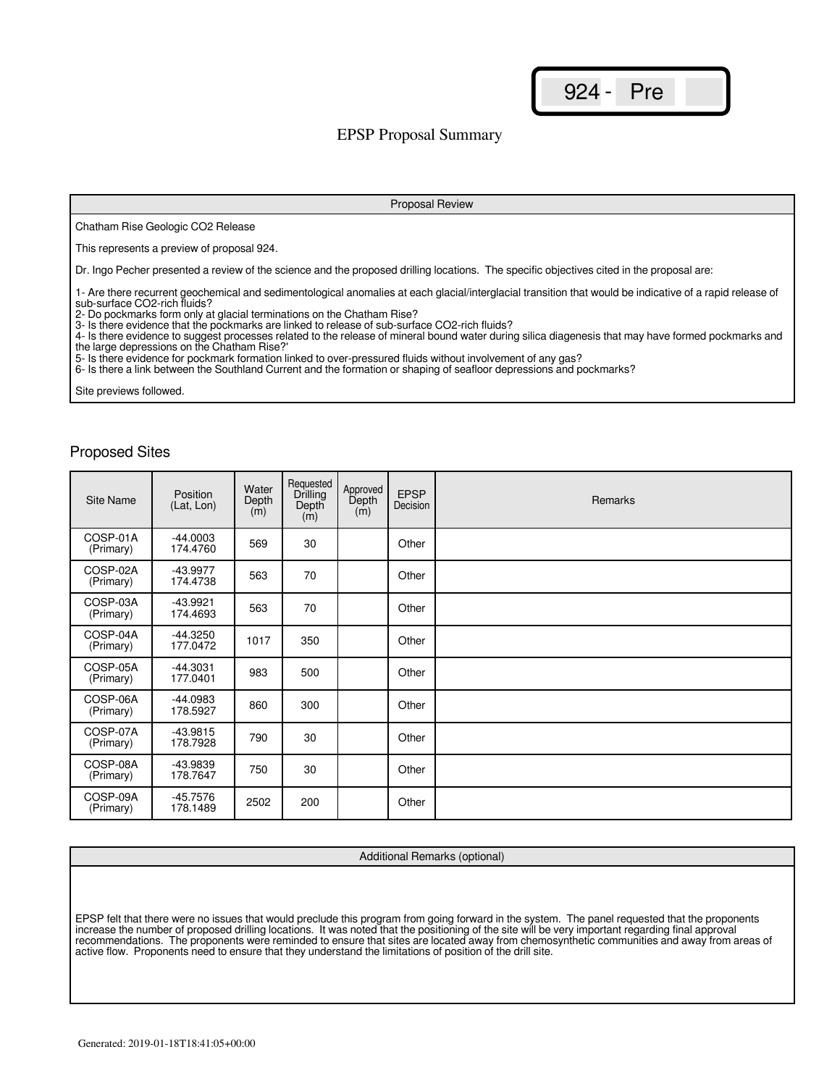924 - Pre

### EPSP Proposal Summary

Chatham Rise Geologic CO2 Release

This represents a preview of proposal 924.

Dr. Ingo Pecher presented a review of the science and the proposed drilling locations. The specific objectives cited in the proposal are:

1- Are there recurrent geochemical and sedimentological anomalies at each glacial/interglacial transition that would be indicative of a rapid release of sub-surface CO2-rich fluids?

Proposal Review

2- Do pockmarks form only at glacial terminations on the Chatham Rise? 3- Is there evidence that the pockmarks are linked to release of sub-surface CO2-rich fluids?

4- Is there evidence to suggest processes related to the release of mineral bound water during silica diagenesis that may have formed pockmarks and the large depressions on the Chatham Rise?'

5- Is there evidence for pockmark formation linked to over-pressured fluids without involvement of any gas?

6- Is there a link between the Southland Current and the formation or shaping of seafloor depressions and pockmarks?

Site previews followed.

#### Proposed Sites

| Site Name             | Position<br>(Lat, Lon) | Water<br>Depth<br>(m) | Requested<br>Drilling<br>Depth<br>(m) | Approved<br>Depth<br>(m) | <b>EPSP</b><br>Decision | Remarks |
|-----------------------|------------------------|-----------------------|---------------------------------------|--------------------------|-------------------------|---------|
| COSP-01A<br>(Primary) | $-44.0003$<br>174.4760 | 569                   | 30                                    |                          | Other                   |         |
| COSP-02A<br>(Primary) | -43.9977<br>174.4738   | 563                   | 70                                    |                          | Other                   |         |
| COSP-03A<br>(Primary) | $-43.9921$<br>174.4693 | 563                   | 70                                    |                          | Other                   |         |
| COSP-04A<br>(Primary) | $-44.3250$<br>177.0472 | 1017                  | 350                                   |                          | Other                   |         |
| COSP-05A<br>(Primary) | $-44.3031$<br>177.0401 | 983                   | 500                                   |                          | Other                   |         |
| COSP-06A<br>(Primary) | -44.0983<br>178.5927   | 860                   | 300                                   |                          | Other                   |         |
| COSP-07A<br>(Primary) | $-43.9815$<br>178.7928 | 790                   | 30                                    |                          | Other                   |         |
| COSP-08A<br>(Primary) | -43.9839<br>178.7647   | 750                   | 30                                    |                          | Other                   |         |
| COSP-09A<br>(Primary) | $-45.7576$<br>178.1489 | 2502                  | 200                                   |                          | Other                   |         |

Additional Remarks (optional)

EPSP felt that there were no issues that would preclude this program from going forward in the system. The panel requested that the proponents increase the number of proposed drilling locations. It was noted that the positioning of the site will be very important regarding final approval recommendations. The proponents were reminded to ensure that sites are located away from chemosynthetic communities and away from areas of active flow. Proponents need to ensure that they understand the limitations of position of the drill site.